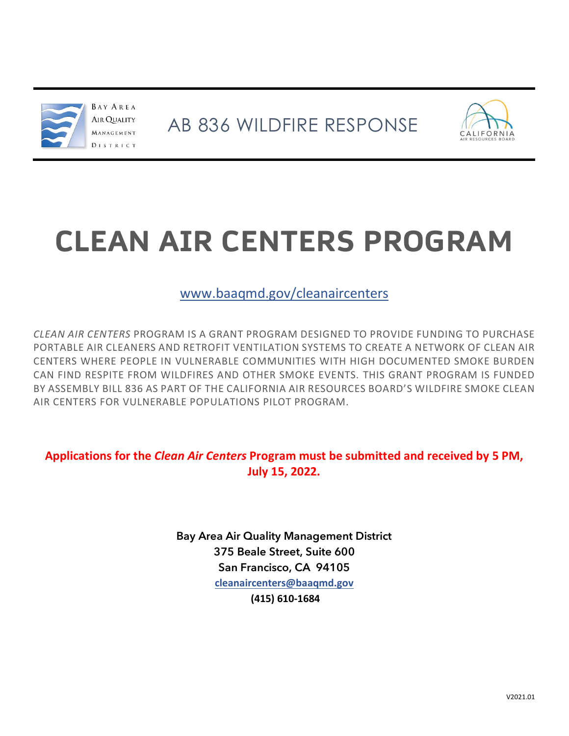



# **CLEAN AIR CENTERS PROGRAM**

# [www.baaqmd.gov/cleanaircenters](http://www.baaqmd.gov/cleanaircenters)

*CLEAN AIR CENTERS* PROGRAM IS A GRANT PROGRAM DESIGNED TO PROVIDE FUNDING TO PURCHASE PORTABLE AIR CLEANERS AND RETROFIT VENTILATION SYSTEMS TO CREATE A NETWORK OF CLEAN AIR CENTERS WHERE PEOPLE IN VULNERABLE COMMUNITIES WITH HIGH DOCUMENTED SMOKE BURDEN CAN FIND RESPITE FROM WILDFIRES AND OTHER SMOKE EVENTS. THIS GRANT PROGRAM IS FUNDED BY ASSEMBLY BILL 836 AS PART OF THE CALIFORNIA AIR RESOURCES BOARD'S WILDFIRE SMOKE CLEAN AIR CENTERS FOR VULNERABLE POPULATIONS PILOT PROGRAM.

**Applications for the** *Clean Air Centers* **Program must be submitted and received by 5 PM, July 15, 2022.** 

> Bay Area Air Quality Management District 375 Beale Street, Suite 600 San Francisco, CA 94105 **[cleanaircenters@baaqmd.gov](mailto:aflores@baaqmd.gov)  (415) 610-1684**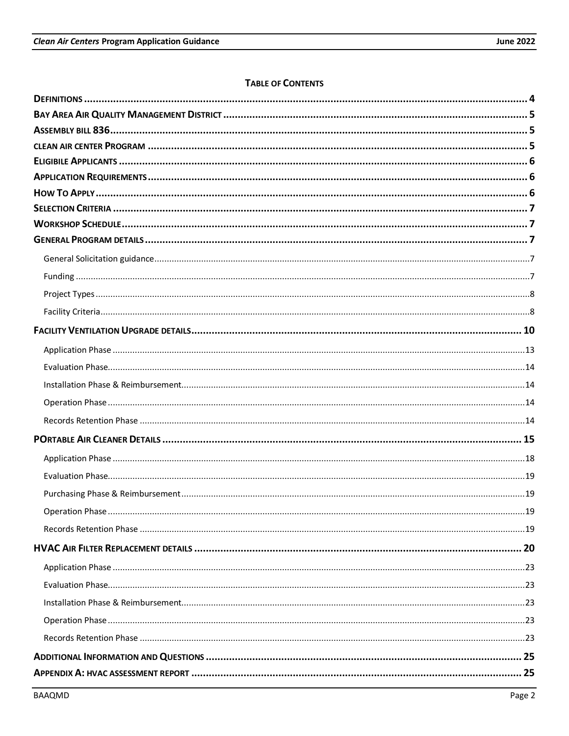# **TABLE OF CONTENTS**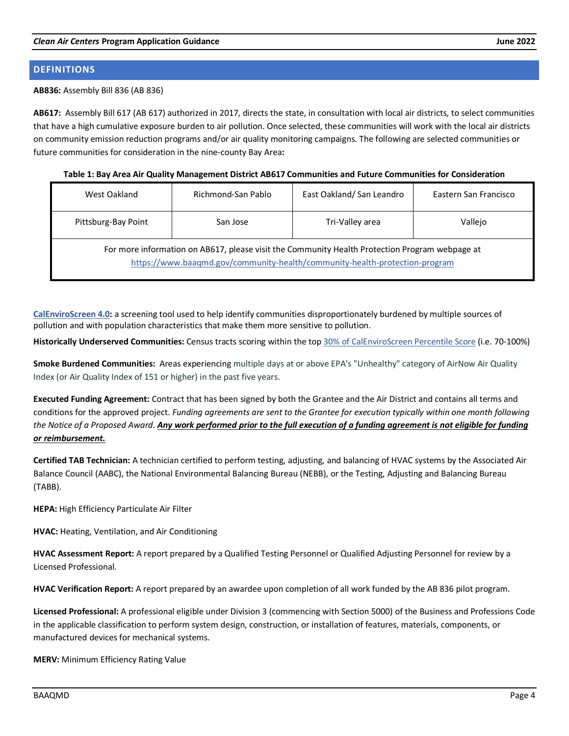# <span id="page-3-0"></span>**DEFINITIONS**

#### **AB836:** Assembly Bill 836 (AB 836)

**AB617:** Assembly Bill 617 (AB 617) authorized in 2017, directs the state, in consultation with local air districts, to select communities that have a high cumulative exposure burden to air pollution. Once selected, these communities will work with the local air districts on community emission reduction programs and/or air quality monitoring campaigns. The following are selected communities or future communities for consideration in the nine-county Bay Area**:** 

**Table 1: Bay Area Air Quality Management District AB617 Communities and Future Communities for Consideration**

| West Oakland                                                                                                                                                                  | Richmond-San Pablo | East Oakland/San Leandro | Eastern San Francisco |  |
|-------------------------------------------------------------------------------------------------------------------------------------------------------------------------------|--------------------|--------------------------|-----------------------|--|
| Pittsburg-Bay Point                                                                                                                                                           | San Jose           | Tri-Valley area          | Vallejo               |  |
| For more information on AB617, please visit the Community Health Protection Program webpage at<br>https://www.baaqmd.gov/community-health/community-health-protection-program |                    |                          |                       |  |

**[CalEnviroScreen](https://experience.arcgis.com/experience/11d2f52282a54ceebcac7428e6184203/page/home/) 4.0:** a screening tool used to help identify communities disproportionately burdened by multiple sources of pollution and with population characteristics that make them more sensitive to pollution.

**Historically Underserved Communities:** Census tracts scoring within the top 30% of [CalEnviroScreen Percentile Score](https://arcg.is/1SqeL9) (i.e. 70-100%)

**Smoke Burdened Communities:** Areas experiencing multiple days at or above EPA's "Unhealthy" category of AirNow Air Quality Index (or Air Quality Index of 151 or higher) in the past five years.

**Executed Funding Agreement:** Contract that has been signed by both the Grantee and the Air District and contains all terms and conditions for the approved project. *Funding agreements are sent to the Grantee for execution typically within one month following the Notice of a Proposed Award. Any work performed prior to the full execution of a funding agreement is not eligible for funding or reimbursement.*

**Certified TAB Technician:** A technician certified to perform testing, adjusting, and balancing of HVAC systems by the Associated Air Balance Council (AABC), the National Environmental Balancing Bureau (NEBB), or the Testing, Adjusting and Balancing Bureau (TABB).

**HEPA:** High Efficiency Particulate Air Filter

**HVAC:** Heating, Ventilation, and Air Conditioning

**HVAC Assessment Report:** A report prepared by a Qualified Testing Personnel or Qualified Adjusting Personnel for review by a Licensed Professional.

**HVAC Verification Report:** A report prepared by an awardee upon completion of all work funded by the AB 836 pilot program.

**Licensed Professional:** A professional eligible under Division 3 (commencing with Section 5000) of the Business and Professions Code in the applicable classification to perform system design, construction, or installation of features, materials, components, or manufactured devices for mechanical systems.

**MERV:** Minimum Efficiency Rating Value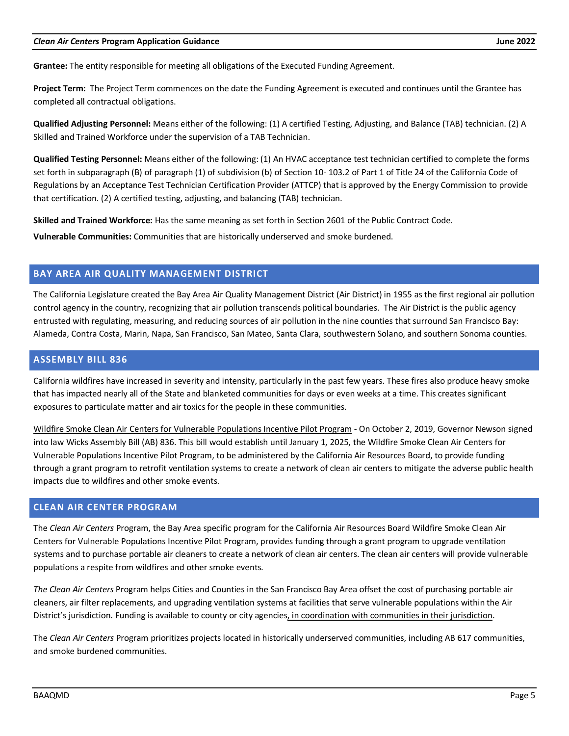#### *Clean Air Centers* **Program Application Guidance June 2022**

**Grantee:** The entity responsible for meeting all obligations of the Executed Funding Agreement.

**Project Term:** The Project Term commences on the date the Funding Agreement is executed and continues until the Grantee has completed all contractual obligations.

**Qualified Adjusting Personnel:** Means either of the following: (1) A certified Testing, Adjusting, and Balance (TAB) technician. (2) A Skilled and Trained Workforce under the supervision of a TAB Technician.

**Qualified Testing Personnel:** Means either of the following: (1) An HVAC acceptance test technician certified to complete the forms set forth in subparagraph (B) of paragraph (1) of subdivision (b) of Section 10- 103.2 of Part 1 of Title 24 of the California Code of Regulations by an Acceptance Test Technician Certification Provider (ATTCP) that is approved by the Energy Commission to provide that certification. (2) A certified testing, adjusting, and balancing (TAB) technician.

**Skilled and Trained Workforce:** Has the same meaning as set forth in Section 2601 of the Public Contract Code.

**Vulnerable Communities:** Communities that are historically underserved and smoke burdened.

# <span id="page-4-0"></span>**BAY AREA AIR QUALITY MANAGEMENT DISTRICT**

The California Legislature created the Bay Area Air Quality Management District (Air District) in 1955 as the first regional air pollution control agency in the country, recognizing that air pollution transcends political boundaries. The Air District is the public agency entrusted with regulating, measuring, and reducing sources of air pollution in the nine counties that surround San Francisco Bay: Alameda, Contra Costa, Marin, Napa, San Francisco, San Mateo, Santa Clara, southwestern Solano, and southern Sonoma counties.

# <span id="page-4-1"></span>**ASSEMBLY BILL 836**

California wildfires have increased in severity and intensity, particularly in the past few years. These fires also produce heavy smoke that has impacted nearly all of the State and blanketed communities for days or even weeks at a time. This creates significant exposures to particulate matter and air toxics for the people in these communities.

Wildfire Smoke Clean Air Centers for Vulnerable Populations Incentive Pilot Program - On October 2, 2019, Governor Newson signed into law Wicks Assembly Bill (AB) 836. This bill would establish until January 1, 2025, the Wildfire Smoke Clean Air Centers for Vulnerable Populations Incentive Pilot Program, to be administered by the California Air Resources Board, to provide funding through a grant program to retrofit ventilation systems to create a network of clean air centers to mitigate the adverse public health impacts due to wildfires and other smoke events.

# <span id="page-4-2"></span>**CLEAN AIR CENTER PROGRAM**

The *Clean Air Centers* Program, the Bay Area specific program for the California Air Resources Board Wildfire Smoke Clean Air Centers for Vulnerable Populations Incentive Pilot Program, provides funding through a grant program to upgrade ventilation systems and to purchase portable air cleaners to create a network of clean air centers. The clean air centers will provide vulnerable populations a respite from wildfires and other smoke events.

*The Clean Air Centers* Program helps Cities and Counties in the San Francisco Bay Area offset the cost of purchasing portable air cleaners, air filter replacements, and upgrading ventilation systems at facilities that serve vulnerable populations [within the Air](mailto:mtang@baaqmd.gov?amp%3Bmsa=0&mid=1gqmSHO264UhqsK9iCKm_SCq6aRY&ll=37.885335527693826%2C-122.11577899999997&z=9)  [District's jurisdiction.](mailto:mtang@baaqmd.gov?amp%3Bmsa=0&mid=1gqmSHO264UhqsK9iCKm_SCq6aRY&ll=37.885335527693826%2C-122.11577899999997&z=9) Funding is available to county or city agencies, in coordination with communities in their jurisdiction.

The *Clean Air Centers* Program prioritizes projects located in historically underserved communities, including AB 617 communities, and smoke burdened communities.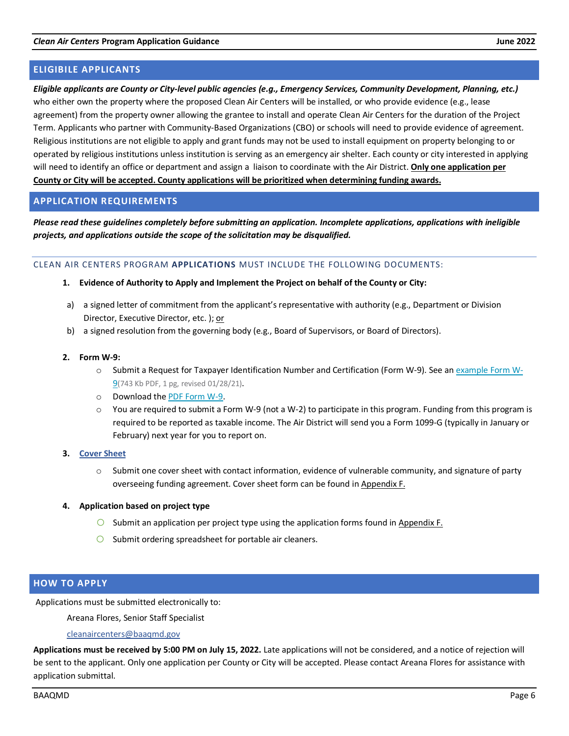<span id="page-5-0"></span>*Eligible applicants are County or City-level public agencies (e.g., Emergency Services, Community Development, Planning, etc.)*  who either own the property where the proposed Clean Air Centers will be installed, or who provide evidence (e.g., lease agreement) from the property owner allowing the grantee to install and operate Clean Air Centers for the duration of the Project Term. Applicants who partner with Community-Based Organizations (CBO) or schools will need to provide evidence of agreement. Religious institutions are not eligible to apply and grant funds may not be used to install equipment on property belonging to or operated by religious institutions unless institution is serving as an emergency air shelter. Each county or city interested in applying will need to identify an office or department and assign a liaison to coordinate with the Air District. **Only one application per County or City will be accepted. County applications will be prioritized when determining funding awards.**

# <span id="page-5-1"></span>**APPLICATION REQUIREMENTS**

*Please read these guidelines completely before submitting an application. Incomplete applications, applications with ineligible projects, and applications outside the scope of the solicitation may be disqualified.*

#### CLEAN AIR CENTERS PROGRAM **APPLICATIONS** MUST INCLUDE THE FOLLOWING DOCUMENTS:

- **1. Evidence of Authority to Apply and Implement the Project on behalf of the County or City:**
- a) a signed letter of commitment from the applicant's representative with authority (e.g., Department or Division Director, Executive Director, etc. ); or
- b) a signed resolution from the governing body (e.g., Board of Supervisors, or Board of Directors).

#### **2. Form W-9:**

- o Submit a Request for Taxpayer Identification Number and Certification (Form W-9). See an example [Form W-](https://www.baaqmd.gov/%7E/media/landing-pages/ccfa/apply/example-w9-pdf.pdf?la=en)[9\(](https://www.baaqmd.gov/%7E/media/landing-pages/ccfa/apply/example-w9-pdf.pdf?la=en)743 Kb PDF, 1 pg, revised 01/28/21).
- o Download the PDF [Form W-9.](https://www.irs.gov/pub/irs-pdf/fw9.pdf)
- $\circ$  You are required to submit a Form W-9 (not a W-2) to participate in this program. Funding from this program is required to be reported as taxable income. The Air District will send you a Form 1099-G (typically in January or February) next year for you to report on.
- **3. [Cover Sheet](https://www.baaqmd.gov/%7E/media/files/strategic-incentives/clean-air-centers/forms/ab-836-forms-cover-sheet-docx.docx?la=en)**
	- o Submit one cover sheet with contact information, evidence of vulnerable community, and signature of party overseeing funding agreement. Cover sheet form can be found in Appendix F.

# **4. Application based on project type**

- $\circ$  Submit an application per project type using the application forms found in Appendix F.
- $\circ$  Submit ordering spreadsheet for portable air cleaners.

# <span id="page-5-2"></span>**HOW TO APPLY**

Applications must be submitted electronically to:

Areana Flores, Senior Staff Specialist

# [cleanaircenters@baaqmd.gov](mailto:aflores@baaqmd.gov)

**Applications must be received by 5:00 PM on July 15, 2022.** Late applications will not be considered, and a notice of rejection will be sent to the applicant. Only one application per County or City will be accepted. Please contact Areana Flores for assistance with application submittal.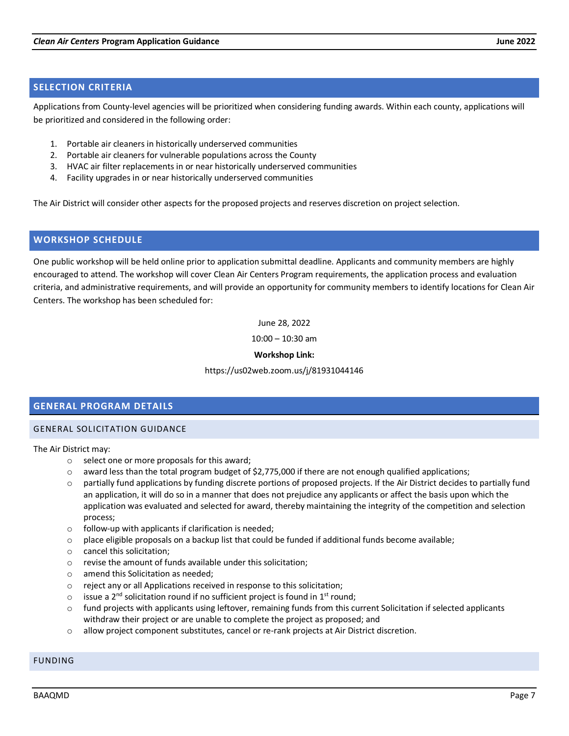# <span id="page-6-0"></span>**SELECTION CRITERIA**

Applications from County-level agencies will be prioritized when considering funding awards. Within each county, applications will be prioritized and considered in the following order:

- 1. Portable air cleaners in historically underserved communities
- 2. Portable air cleaners for vulnerable populations across the County
- 3. HVAC air filter replacements in or near historically underserved communities
- 4. Facility upgrades in or near historically underserved communities

The Air District will consider other aspects for the proposed projects and reserves discretion on project selection.

# <span id="page-6-1"></span>**WORKSHOP SCHEDULE**

One public workshop will be held online prior to application submittal deadline. Applicants and community members are highly encouraged to attend. The workshop will cover Clean Air Centers Program requirements, the application process and evaluation criteria, and administrative requirements, and will provide an opportunity for community members to identify locations for Clean Air Centers. The workshop has been scheduled for:

June 28, 2022

10:00 – 10:30 am

# **Workshop Link:**

#### https://us02web.zoom.us/j/81931044146

# <span id="page-6-2"></span>**GENERAL PROGRAM DETAILS**

#### <span id="page-6-3"></span>GENERAL SOLICITATION GUIDANCE

#### The Air District may:

- o select one or more proposals for this award;
- $\circ$  award less than the total program budget of \$2,775,000 if there are not enough qualified applications;
- $\circ$  partially fund applications by funding discrete portions of proposed projects. If the Air District decides to partially fund an application, it will do so in a manner that does not prejudice any applicants or affect the basis upon which the application was evaluated and selected for award, thereby maintaining the integrity of the competition and selection process;
- $\circ$  follow-up with applicants if clarification is needed;
- $\circ$  place eligible proposals on a backup list that could be funded if additional funds become available;
- o cancel this solicitation;
- o revise the amount of funds available under this solicitation;
- o amend this Solicitation as needed;
- o reject any or all Applications received in response to this solicitation;
- $\circ$  issue a 2<sup>nd</sup> solicitation round if no sufficient project is found in 1<sup>st</sup> round;
- $\circ$  fund projects with applicants using leftover, remaining funds from this current Solicitation if selected applicants withdraw their project or are unable to complete the project as proposed; and
- o allow project component substitutes, cancel or re-rank projects at Air District discretion.

# <span id="page-6-4"></span>FUNDING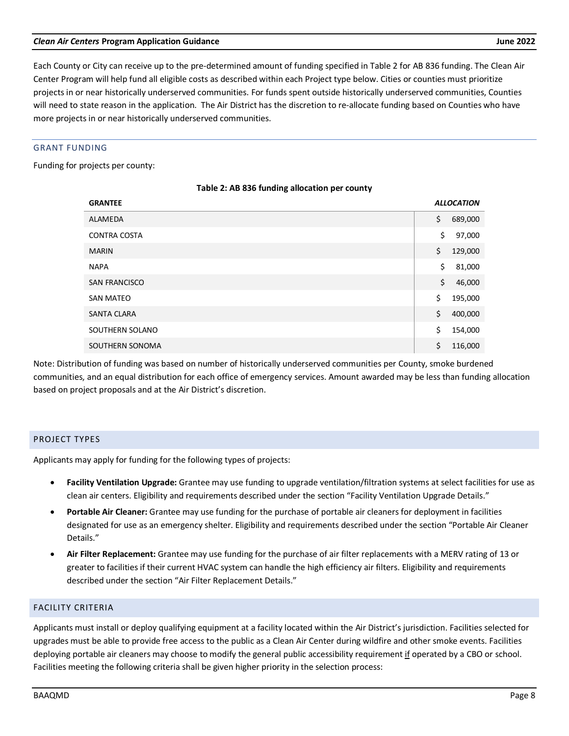# BAAQMD Page 8

# *Clean Air Centers* **Program Application Guidance June 2022**

Each County or City can receive up to the pre-determined amount of funding specified in Table 2 for AB 836 funding. The Clean Air Center Program will help fund all eligible costs as described within each Project type below. Cities or counties must prioritize projects in or near historically underserved communities. For funds spent outside historically underserved communities, Counties will need to state reason in the application. The Air District has the discretion to re-allocate funding based on Counties who have more projects in or near historically underserved communities.

# GRANT FUNDING

Funding for projects per county:

| <b>GRANTEE</b>      | <b>ALLOCATION</b> |
|---------------------|-------------------|
| ALAMEDA             | \$<br>689,000     |
| <b>CONTRA COSTA</b> | \$<br>97,000      |
| <b>MARIN</b>        | \$<br>129,000     |
| <b>NAPA</b>         | \$<br>81,000      |
| SAN FRANCISCO       | \$<br>46,000      |
| <b>SAN MATEO</b>    | \$<br>195,000     |
| <b>SANTA CLARA</b>  | \$<br>400,000     |
| SOUTHERN SOLANO     | \$<br>154,000     |
| SOUTHERN SONOMA     | \$<br>116,000     |

# **Table 2: AB 836 funding allocation per county**

Note: Distribution of funding was based on number of historically underserved communities per County, smoke burdened communities, and an equal distribution for each office of emergency services. Amount awarded may be less than funding allocation based on project proposals and at the Air District's discretion.

# <span id="page-7-0"></span>PROJECT TYPES

Applicants may apply for funding for the following types of projects:

- **Facility Ventilation Upgrade:** Grantee may use funding to upgrade ventilation/filtration systems at select facilities for use as clean air centers. Eligibility and requirements described under the section "Facility Ventilation Upgrade Details."
- **Portable Air Cleaner:** Grantee may use funding for the purchase of portable air cleaners for deployment in facilities designated for use as an emergency shelter. Eligibility and requirements described under the section "Portable Air Cleaner Details."
- **Air Filter Replacement:** Grantee may use funding for the purchase of air filter replacements with a MERV rating of 13 or greater to facilities if their current HVAC system can handle the high efficiency air filters. Eligibility and requirements described under the section "Air Filter Replacement Details."

# <span id="page-7-1"></span>FACILITY CRITERIA

Applicants must install or deploy qualifying equipment at a facility located within the Air District's jurisdiction. Facilities selected for upgrades must be able to provide free access to the public as a Clean Air Center during wildfire and other smoke events. Facilities deploying portable air cleaners may choose to modify the general public accessibility requirement if operated by a CBO or school. Facilities meeting the following criteria shall be given higher priority in the selection process: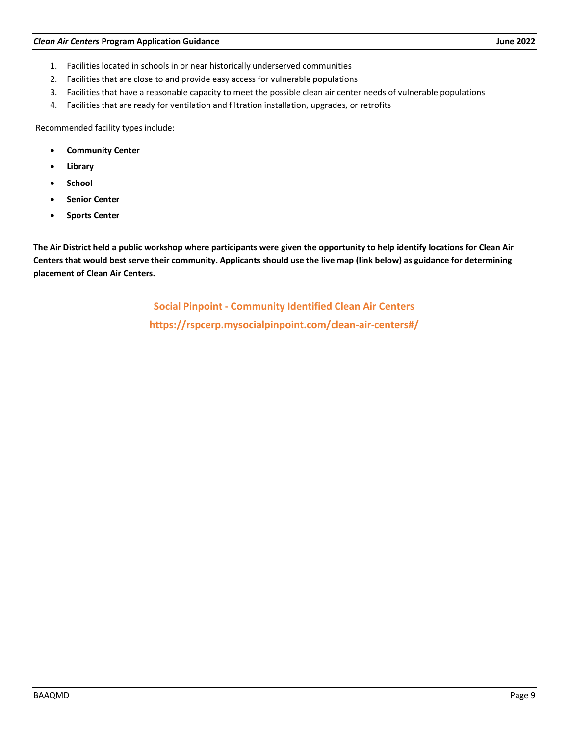- 1. Facilities located in schools in or near historically underserved communities
- 2. Facilities that are close to and provide easy access for vulnerable populations
- 3. Facilities that have a reasonable capacity to meet the possible clean air center needs of vulnerable populations
- 4. Facilities that are ready for ventilation and filtration installation, upgrades, or retrofits

Recommended facility types include:

- **Community Center**
- **Library**
- **School**
- **Senior Center**
- **Sports Center**

**The Air District held a public workshop where participants were given the opportunity to help identify locations for Clean Air Centers that would best serve their community. Applicants should use the live map (link below) as guidance for determining placement of Clean Air Centers.**

> **[Social Pinpoint - Community Identified Clean Air Centers](https://baaqmd.sharepoint.com/sites/WildfireResponseProgram/Shared%20Documents/Website/Round%202-%20Draft/Social%20Pinpoint%20-%20Community%20Identified%20Clean%20Air%20Centers%20(https:/rspcerp.mysocialpinpoint.com/clean-air-centers#/)) <https://rspcerp.mysocialpinpoint.com/clean-air-centers#/>**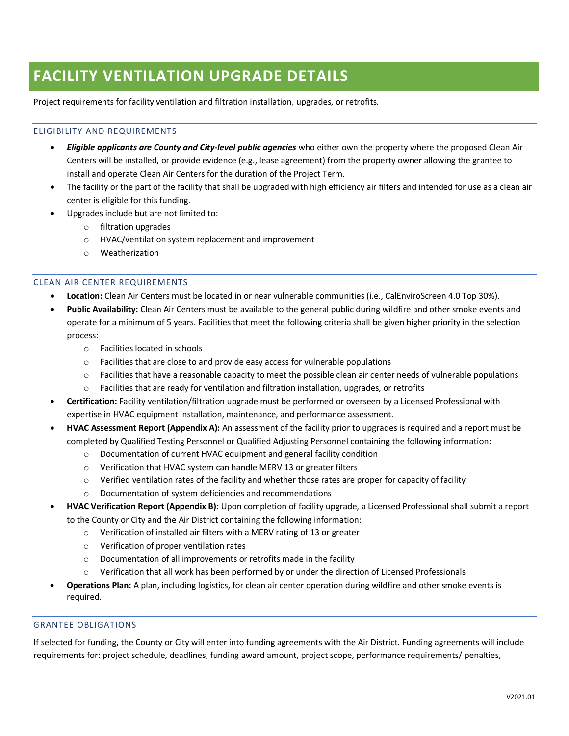# <span id="page-9-0"></span>**FACILITY VENTILATION UPGRADE DETAILS**

Project requirements for facility ventilation and filtration installation, upgrades, or retrofits.

# ELIGIBILITY AND REQUIREMENTS

- *Eligible applicants are County and City-level public agencies* who either own the property where the proposed Clean Air Centers will be installed, or provide evidence (e.g., lease agreement) from the property owner allowing the grantee to install and operate Clean Air Centers for the duration of the Project Term.
- The facility or the part of the facility that shall be upgraded with high efficiency air filters and intended for use as a clean air center is eligible for this funding.
- Upgrades include but are not limited to:
	- o filtration upgrades
	- o HVAC/ventilation system replacement and improvement
	- o Weatherization

# CLEAN AIR CENTER REQUIREMENTS

- **Location:** Clean Air Centers must be located in or near vulnerable communities (i.e., CalEnviroScreen 4.0 Top 30%).
- **Public Availability:** Clean Air Centers must be available to the general public during wildfire and other smoke events and operate for a minimum of 5 years. Facilities that meet the following criteria shall be given higher priority in the selection process:
	- o Facilities located in schools
	- $\circ$  Facilities that are close to and provide easy access for vulnerable populations
	- $\circ$  Facilities that have a reasonable capacity to meet the possible clean air center needs of vulnerable populations
	- $\circ$  Facilities that are ready for ventilation and filtration installation, upgrades, or retrofits
- **Certification:** Facility ventilation/filtration upgrade must be performed or overseen by a Licensed Professional with expertise in HVAC equipment installation, maintenance, and performance assessment.
- **HVAC Assessment Report (Appendix A):** An assessment of the facility prior to upgrades is required and a report must be completed by Qualified Testing Personnel or Qualified Adjusting Personnel containing the following information:
	- o Documentation of current HVAC equipment and general facility condition
	- o Verification that HVAC system can handle MERV 13 or greater filters
	- o Verified ventilation rates of the facility and whether those rates are proper for capacity of facility
	- o Documentation of system deficiencies and recommendations
- **HVAC Verification Report (Appendix B):** Upon completion of facility upgrade, a Licensed Professional shall submit a report to the County or City and the Air District containing the following information:
	- o Verification of installed air filters with a MERV rating of 13 or greater
	- o Verification of proper ventilation rates
	- o Documentation of all improvements or retrofits made in the facility
	- $\circ$  Verification that all work has been performed by or under the direction of Licensed Professionals
- **Operations Plan:** A plan, including logistics, for clean air center operation during wildfire and other smoke events is required.

# GRANTEE OBLIGATIONS

If selected for funding, the County or City will enter into funding agreements with the Air District. Funding agreements will include requirements for: project schedule, deadlines, funding award amount, project scope, performance requirements/ penalties,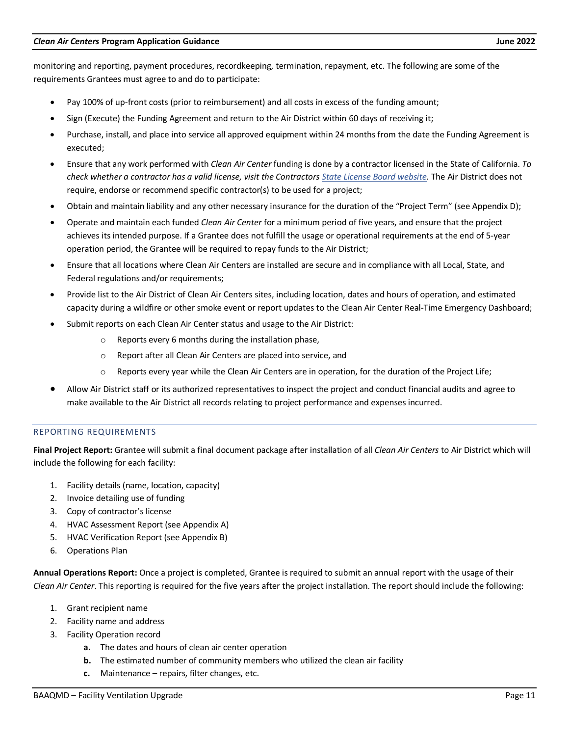monitoring and reporting, payment procedures, recordkeeping, termination, repayment, etc. The following are some of the requirements Grantees must agree to and do to participate:

- Pay 100% of up-front costs (prior to reimbursement) and all costs in excess of the funding amount;
- Sign (Execute) the Funding Agreement and return to the Air District within 60 days of receiving it;
- Purchase, install, and place into service all approved equipment within 24 months from the date the Funding Agreement is executed;
- Ensure that any work performed with *Clean Air Center* funding is done by a contractor licensed in the State of California. *To check whether a contractor has a valid license, visit the Contractor[s State License Board website.](http://www.baaqmd.gov/charge)* The Air District does not require, endorse or recommend specific contractor(s) to be used for a project;
- Obtain and maintain liability and any other necessary insurance for the duration of the "Project Term" (see Appendix D);
- Operate and maintain each funded *Clean Air Center* for a minimum period of five years, and ensure that the project achieves its intended purpose. If a Grantee does not fulfill the usage or operational requirements at the end of 5-year operation period, the Grantee will be required to repay funds to the Air District;
- Ensure that all locations where Clean Air Centers are installed are secure and in compliance with all Local, State, and Federal regulations and/or requirements;
- Provide list to the Air District of Clean Air Centers sites, including location, dates and hours of operation, and estimated capacity during a wildfire or other smoke event or report updates to the Clean Air Center Real-Time Emergency Dashboard;
- Submit reports on each Clean Air Center status and usage to the Air District:
	- o Reports every 6 months during the installation phase,
	- o Report after all Clean Air Centers are placed into service, and
	- o Reports every year while the Clean Air Centers are in operation, for the duration of the Project Life;
- Allow Air District staff or its authorized representatives to inspect the project and conduct financial audits and agree to make available to the Air District all records relating to project performance and expenses incurred.

# REPORTING REQUIREMENTS

**Final Project Report:** Grantee will submit a final document package after installation of all *Clean Air Centers* to Air District which will include the following for each facility:

- 1. Facility details (name, location, capacity)
- 2. Invoice detailing use of funding
- 3. Copy of contractor's license
- 4. HVAC Assessment Report (see Appendix A)
- 5. HVAC Verification Report (see Appendix B)
- 6. Operations Plan

**Annual Operations Report:** Once a project is completed, Grantee is required to submit an annual report with the usage of their *Clean Air Center*. This reporting is required for the five years after the project installation. The report should include the following:

- 1. Grant recipient name
- 2. Facility name and address
- 3. Facility Operation record
	- **a.** The dates and hours of clean air center operation
	- **b.** The estimated number of community members who utilized the clean air facility
	- **c.** Maintenance repairs, filter changes, etc.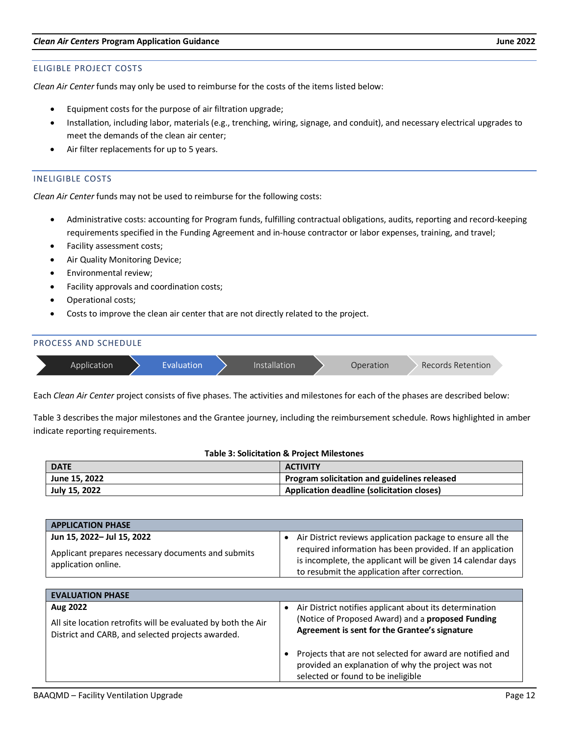#### ELIGIBLE PROJECT COSTS

*Clean Air Center* funds may only be used to reimburse for the costs of the items listed below:

- Equipment costs for the purpose of air filtration upgrade;
- Installation, including labor, materials (e.g., trenching, wiring, signage, and conduit), and necessary electrical upgrades to meet the demands of the clean air center;
- Air filter replacements for up to 5 years.

#### INELIGIBLE COSTS

*Clean Air Center* funds may not be used to reimburse for the following costs:

- Administrative costs: accounting for Program funds, fulfilling contractual obligations, audits, reporting and record-keeping requirements specified in the Funding Agreement and in-house contractor or labor expenses, training, and travel;
- Facility assessment costs;
- Air Quality Monitoring Device;
- Environmental review;
- Facility approvals and coordination costs;
- Operational costs;
- Costs to improve the clean air center that are not directly related to the project.

| <b>PROCESS AND SCHEDULE</b> |            |               |           |                   |  |
|-----------------------------|------------|---------------|-----------|-------------------|--|
| Application                 | Evaluation | Installation! | Operation | Records Retention |  |

Each *Clean Air Center* project consists of five phases. The activities and milestones for each of the phases are described below:

Table 3 describes the major milestones and the Grantee journey, including the reimbursement schedule. Rows highlighted in amber indicate reporting requirements.

#### **Table 3: Solicitation & Project Milestones**

| <b>DATE</b>   | <b>ACTIVITY</b>                                   |
|---------------|---------------------------------------------------|
| June 15, 2022 | Program solicitation and guidelines released      |
| July 15, 2022 | <b>Application deadline (solicitation closes)</b> |

| <b>APPLICATION PHASE</b>                                                                                                       |                                                                                                                                                                                                                                           |
|--------------------------------------------------------------------------------------------------------------------------------|-------------------------------------------------------------------------------------------------------------------------------------------------------------------------------------------------------------------------------------------|
| Jun 15, 2022- Jul 15, 2022<br>Applicant prepares necessary documents and submits<br>application online.                        | • Air District reviews application package to ensure all the<br>required information has been provided. If an application<br>is incomplete, the applicant will be given 14 calendar days<br>to resubmit the application after correction. |
|                                                                                                                                |                                                                                                                                                                                                                                           |
| <b>EVALUATION PHASE</b>                                                                                                        |                                                                                                                                                                                                                                           |
| Aug 2022<br>All site location retrofits will be evaluated by both the Air<br>District and CARB, and selected projects awarded. | • Air District notifies applicant about its determination<br>(Notice of Proposed Award) and a proposed Funding<br>Agreement is sent for the Grantee's signature                                                                           |
|                                                                                                                                | Projects that are not selected for award are notified and<br>provided an explanation of why the project was not<br>selected or found to be ineligible                                                                                     |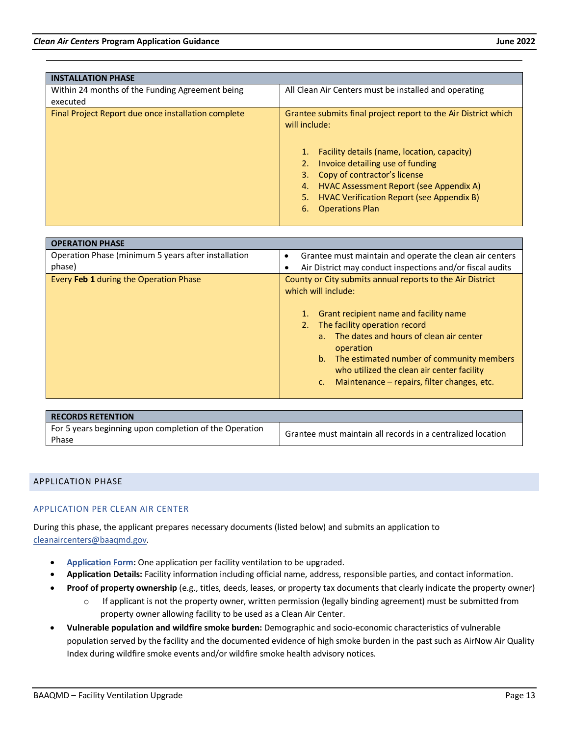| <b>INSTALLATION PHASE</b>                                   |                                                                                                                                                                                                                                                                                                                                                           |
|-------------------------------------------------------------|-----------------------------------------------------------------------------------------------------------------------------------------------------------------------------------------------------------------------------------------------------------------------------------------------------------------------------------------------------------|
| Within 24 months of the Funding Agreement being<br>executed | All Clean Air Centers must be installed and operating                                                                                                                                                                                                                                                                                                     |
| Final Project Report due once installation complete         | Grantee submits final project report to the Air District which<br>will include:<br>Facility details (name, location, capacity)<br>1.<br>Invoice detailing use of funding<br>Copy of contractor's license<br>3.<br>HVAC Assessment Report (see Appendix A)<br>4.<br>5.<br><b>HVAC Verification Report (see Appendix B)</b><br>6.<br><b>Operations Plan</b> |

| <b>OPERATION PHASE</b>                              |                                                                                                                                                                                                                                                                                                                                                                           |
|-----------------------------------------------------|---------------------------------------------------------------------------------------------------------------------------------------------------------------------------------------------------------------------------------------------------------------------------------------------------------------------------------------------------------------------------|
| Operation Phase (minimum 5 years after installation | Grantee must maintain and operate the clean air centers                                                                                                                                                                                                                                                                                                                   |
| phase)                                              | Air District may conduct inspections and/or fiscal audits                                                                                                                                                                                                                                                                                                                 |
| Every Feb 1 during the Operation Phase              | County or City submits annual reports to the Air District<br>which will include:<br>Grant recipient name and facility name<br>The facility operation record<br>2.<br>a. The dates and hours of clean air center<br>operation<br>b. The estimated number of community members<br>who utilized the clean air center facility<br>Maintenance – repairs, filter changes, etc. |

| <b>RECORDS RETENTION</b>                                        |                                                             |
|-----------------------------------------------------------------|-------------------------------------------------------------|
| For 5 years beginning upon completion of the Operation<br>Phase | Grantee must maintain all records in a centralized location |

# <span id="page-12-0"></span>APPLICATION PHASE

# APPLICATION PER CLEAN AIR CENTER

During this phase, the applicant prepares necessary documents (listed below) and submits an application to [cleanaircenters@baaqmd.gov.](mailto:aflores@baaqmd.gov)

- **[Application Form:](https://www.baaqmd.gov/%7E/media/files/strategic-incentives/clean-air-centers/forms/ab-836-forms-facility-ventilation-upgrade-docx.docx?la=en)** One application per facility ventilation to be upgraded.
- **Application Details:** Facility information including official name, address, responsible parties, and contact information.
- **Proof of property ownership** (e.g., titles, deeds, leases, or property tax documents that clearly indicate the property owner)
	- $\circ$  If applicant is not the property owner, written permission (legally binding agreement) must be submitted from property owner allowing facility to be used as a Clean Air Center.
- **Vulnerable population and wildfire smoke burden:** Demographic and socio-economic characteristics of vulnerable population served by the facility and the documented evidence of high smoke burden in the past such as AirNow Air Quality Index during wildfire smoke events and/or wildfire smoke health advisory notices.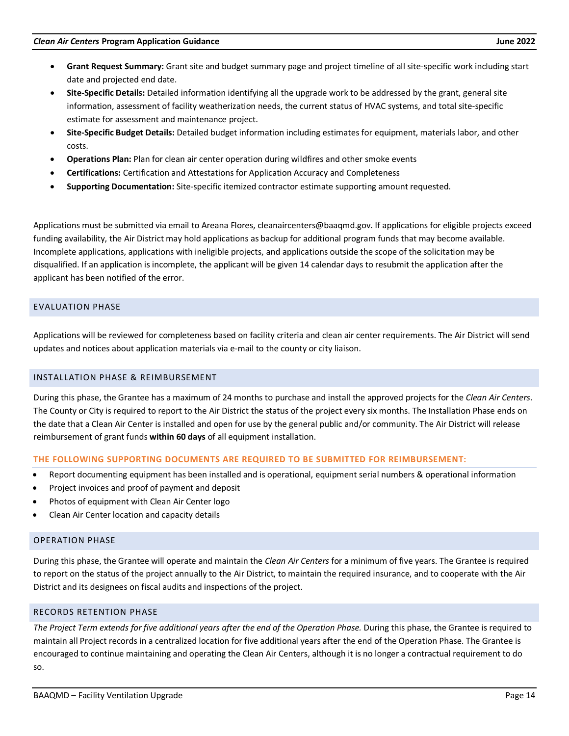- **Grant Request Summary:** Grant site and budget summary page and project timeline of all site-specific work including start date and projected end date.
- **Site-Specific Details:** Detailed information identifying all the upgrade work to be addressed by the grant, general site information, assessment of facility weatherization needs, the current status of HVAC systems, and total site-specific estimate for assessment and maintenance project.
- **Site-Specific Budget Details:** Detailed budget information including estimates for equipment, materials labor, and other costs.
- **Operations Plan:** Plan for clean air center operation during wildfires and other smoke events
- **Certifications:** Certification and Attestations for Application Accuracy and Completeness
- **Supporting Documentation:** Site-specific itemized contractor estimate supporting amount requested.

Applications must be submitted via email to Areana Flores, cleanaircenters@baaqmd.gov. If applications for eligible projects exceed funding availability, the Air District may hold applications as backup for additional program funds that may become available. Incomplete applications, applications with ineligible projects, and applications outside the scope of the solicitation may be disqualified. If an application is incomplete, the applicant will be given 14 calendar days to resubmit the application after the applicant has been notified of the error.

# <span id="page-13-0"></span>EVALUATION PHASE

Applications will be reviewed for completeness based on facility criteria and clean air center requirements. The Air District will send updates and notices about application materials via e-mail to the county or city liaison.

# <span id="page-13-1"></span>INSTALLATION PHASE & REIMBURSEMENT

During this phase, the Grantee has a maximum of 24 months to purchase and install the approved projects for the *Clean Air Centers*. The County or City is required to report to the Air District the status of the project every six months. The Installation Phase ends on the date that a Clean Air Center is installed and open for use by the general public and/or community. The Air District will release reimbursement of grant funds **within 60 days** of all equipment installation.

# **THE FOLLOWING SUPPORTING DOCUMENTS ARE REQUIRED TO BE SUBMITTED FOR REIMBURSEMENT:**

- Report documenting equipment has been installed and is operational, equipment serial numbers & operational information
- Project invoices and proof of payment and deposit
- Photos of equipment with Clean Air Center logo
- Clean Air Center location and capacity details

# <span id="page-13-2"></span>OPERATION PHASE

During this phase, the Grantee will operate and maintain the *Clean Air Centers* for a minimum of five years. The Grantee is required to report on the status of the project annually to the Air District, to maintain the required insurance, and to cooperate with the Air District and its designees on fiscal audits and inspections of the project.

# <span id="page-13-3"></span>RECORDS RETENTION PHASE

*The Project Term extends for five additional years after the end of the Operation Phase.* During this phase, the Grantee is required to maintain all Project records in a centralized location for five additional years after the end of the Operation Phase. The Grantee is encouraged to continue maintaining and operating the Clean Air Centers, although it is no longer a contractual requirement to do so.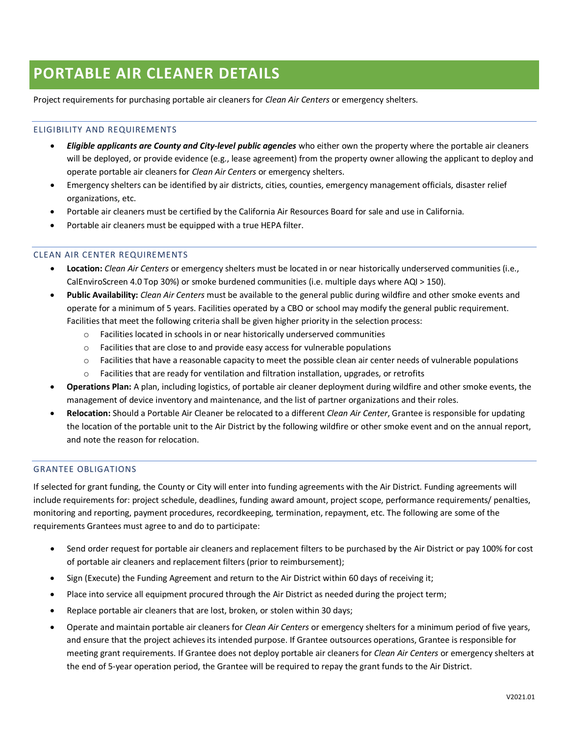# <span id="page-14-0"></span>**PORTABLE AIR CLEANER DETAILS**

Project requirements for purchasing portable air cleaners for *Clean Air Centers* or emergency shelters.

#### ELIGIBILITY AND REQUIREMENTS

- *Eligible applicants are County and City-level public agencies* who either own the property where the portable air cleaners will be deployed, or provide evidence (e.g., lease agreement) from the property owner allowing the applicant to deploy and operate portable air cleaners for *Clean Air Centers* or emergency shelters.
- Emergency shelters can be identified by air districts, cities, counties, emergency management officials, disaster relief organizations, etc.
- Portable air cleaners must be certified by the California Air Resources Board for sale and use in California.
- Portable air cleaners must be equipped with a true HEPA filter.

# CLEAN AIR CENTER REQUIREMENTS

- **Location:** *Clean Air Centers* or emergency shelters must be located in or near historically underserved communities (i.e., CalEnviroScreen 4.0 Top 30%) or smoke burdened communities (i.e. multiple days where AQI > 150).
- **Public Availability:** *Clean Air Centers* must be available to the general public during wildfire and other smoke events and operate for a minimum of 5 years. Facilities operated by a CBO or school may modify the general public requirement. Facilities that meet the following criteria shall be given higher priority in the selection process:
	- o Facilities located in schools in or near historically underserved communities
	- o Facilities that are close to and provide easy access for vulnerable populations
	- $\circ$  Facilities that have a reasonable capacity to meet the possible clean air center needs of vulnerable populations
	- o Facilities that are ready for ventilation and filtration installation, upgrades, or retrofits
- **Operations Plan:** A plan, including logistics, of portable air cleaner deployment during wildfire and other smoke events, the management of device inventory and maintenance, and the list of partner organizations and their roles.
- **Relocation:** Should a Portable Air Cleaner be relocated to a different *Clean Air Center*, Grantee is responsible for updating the location of the portable unit to the Air District by the following wildfire or other smoke event and on the annual report, and note the reason for relocation.

#### GRANTEE OBLIGATIONS

If selected for grant funding, the County or City will enter into funding agreements with the Air District. Funding agreements will include requirements for: project schedule, deadlines, funding award amount, project scope, performance requirements/ penalties, monitoring and reporting, payment procedures, recordkeeping, termination, repayment, etc. The following are some of the requirements Grantees must agree to and do to participate:

- Send order request for portable air cleaners and replacement filters to be purchased by the Air District or pay 100% for cost of portable air cleaners and replacement filters (prior to reimbursement);
- Sign (Execute) the Funding Agreement and return to the Air District within 60 days of receiving it;
- Place into service all equipment procured through the Air District as needed during the project term;
- Replace portable air cleaners that are lost, broken, or stolen within 30 days;
- Operate and maintain portable air cleaners for *Clean Air Centers* or emergency shelters for a minimum period of five years, and ensure that the project achieves its intended purpose. If Grantee outsources operations, Grantee is responsible for meeting grant requirements. If Grantee does not deploy portable air cleaners for *Clean Air Centers* or emergency shelters at the end of 5-year operation period, the Grantee will be required to repay the grant funds to the Air District.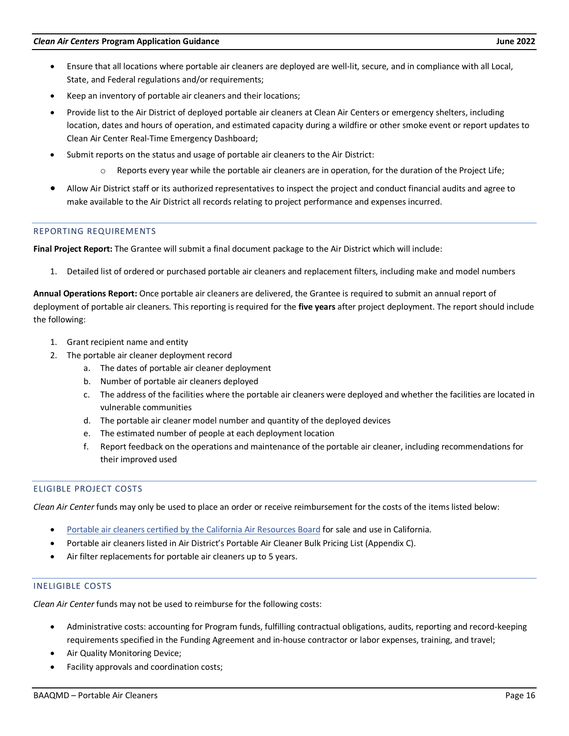- Ensure that all locations where portable air cleaners are deployed are well-lit, secure, and in compliance with all Local, State, and Federal regulations and/or requirements;
- Keep an inventory of portable air cleaners and their locations;
- Provide list to the Air District of deployed portable air cleaners at Clean Air Centers or emergency shelters, including location, dates and hours of operation, and estimated capacity during a wildfire or other smoke event or report updates to Clean Air Center Real-Time Emergency Dashboard;
- Submit reports on the status and usage of portable air cleaners to the Air District:
	- $\circ$  Reports every year while the portable air cleaners are in operation, for the duration of the Project Life;
- Allow Air District staff or its authorized representatives to inspect the project and conduct financial audits and agree to make available to the Air District all records relating to project performance and expenses incurred.

# REPORTING REQUIREMENTS

**Final Project Report:** The Grantee will submit a final document package to the Air District which will include:

1. Detailed list of ordered or purchased portable air cleaners and replacement filters, including make and model numbers

**Annual Operations Report:** Once portable air cleaners are delivered, the Grantee is required to submit an annual report of deployment of portable air cleaners. This reporting is required for the **five years** after project deployment. The report should include the following:

- 1. Grant recipient name and entity
- 2. The portable air cleaner deployment record
	- a. The dates of portable air cleaner deployment
	- b. Number of portable air cleaners deployed
	- c. The address of the facilities where the portable air cleaners were deployed and whether the facilities are located in vulnerable communities
	- d. The portable air cleaner model number and quantity of the deployed devices
	- e. The estimated number of people at each deployment location
	- f. Report feedback on the operations and maintenance of the portable air cleaner, including recommendations for their improved used

# ELIGIBLE PROJECT COSTS

*Clean Air Center* funds may only be used to place an order or receive reimbursement for the costs of the items listed below:

- [Portable air cleaners certified by the California Air Resources Board](https://ww2.arb.ca.gov/list-carb-certified-air-cleaning-devices) for sale and use in California.
- Portable air cleaners listed in Air District's Portable Air Cleaner Bulk Pricing List (Appendix C).
- Air filter replacements for portable air cleaners up to 5 years.

# INELIGIBLE COSTS

*Clean Air Center* funds may not be used to reimburse for the following costs:

- Administrative costs: accounting for Program funds, fulfilling contractual obligations, audits, reporting and record-keeping requirements specified in the Funding Agreement and in-house contractor or labor expenses, training, and travel;
- Air Quality Monitoring Device;
- Facility approvals and coordination costs;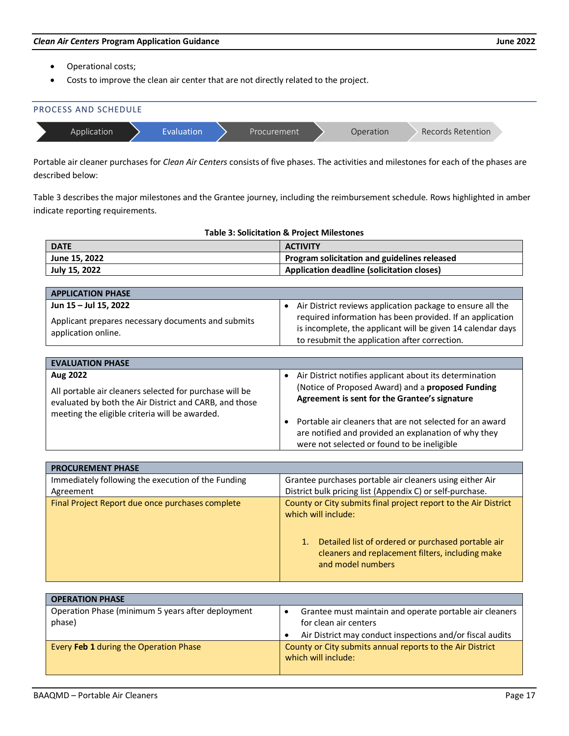- Operational costs;
- Costs to improve the clean air center that are not directly related to the project.



Portable air cleaner purchases for *Clean Air Centers* consists of five phases. The activities and milestones for each of the phases are described below:

Table 3 describes the major milestones and the Grantee journey, including the reimbursement schedule. Rows highlighted in amber indicate reporting requirements.

| <b>DATE</b>   | <b>ACTIVITY</b>                                   |
|---------------|---------------------------------------------------|
| June 15, 2022 | Program solicitation and guidelines released      |
| July 15, 2022 | <b>Application deadline (solicitation closes)</b> |

| <b>APPLICATION PHASE</b>                                                  |                                                             |
|---------------------------------------------------------------------------|-------------------------------------------------------------|
| Jun 15 - Jul 15, 2022                                                     | Air District reviews application package to ensure all the  |
| Applicant prepares necessary documents and submits<br>application online. | required information has been provided. If an application   |
|                                                                           | is incomplete, the applicant will be given 14 calendar days |
|                                                                           | to resubmit the application after correction.               |

| <b>EVALUATION PHASE</b>                                                                                                                                                         |                                                                                                                                                                                                                                                                                                                                                    |  |
|---------------------------------------------------------------------------------------------------------------------------------------------------------------------------------|----------------------------------------------------------------------------------------------------------------------------------------------------------------------------------------------------------------------------------------------------------------------------------------------------------------------------------------------------|--|
| Aug 2022<br>All portable air cleaners selected for purchase will be<br>evaluated by both the Air District and CARB, and those<br>meeting the eligible criteria will be awarded. | Air District notifies applicant about its determination<br>٠<br>(Notice of Proposed Award) and a proposed Funding<br>Agreement is sent for the Grantee's signature<br>Portable air cleaners that are not selected for an award<br>$\bullet$<br>are notified and provided an explanation of why they<br>were not selected or found to be ineligible |  |

| <b>PROCUREMENT PHASE</b>                           |                                                                                                                                                                                                                             |
|----------------------------------------------------|-----------------------------------------------------------------------------------------------------------------------------------------------------------------------------------------------------------------------------|
| Immediately following the execution of the Funding | Grantee purchases portable air cleaners using either Air                                                                                                                                                                    |
| Agreement                                          | District bulk pricing list (Appendix C) or self-purchase.                                                                                                                                                                   |
| Final Project Report due once purchases complete   | County or City submits final project report to the Air District<br>which will include:<br>Detailed list of ordered or purchased portable air<br>1.<br>cleaners and replacement filters, including make<br>and model numbers |

| <b>OPERATION PHASE</b>                                      |                                                                                                                                               |
|-------------------------------------------------------------|-----------------------------------------------------------------------------------------------------------------------------------------------|
| Operation Phase (minimum 5 years after deployment<br>phase) | Grantee must maintain and operate portable air cleaners<br>for clean air centers<br>Air District may conduct inspections and/or fiscal audits |
| Every Feb 1 during the Operation Phase                      | County or City submits annual reports to the Air District<br>which will include:                                                              |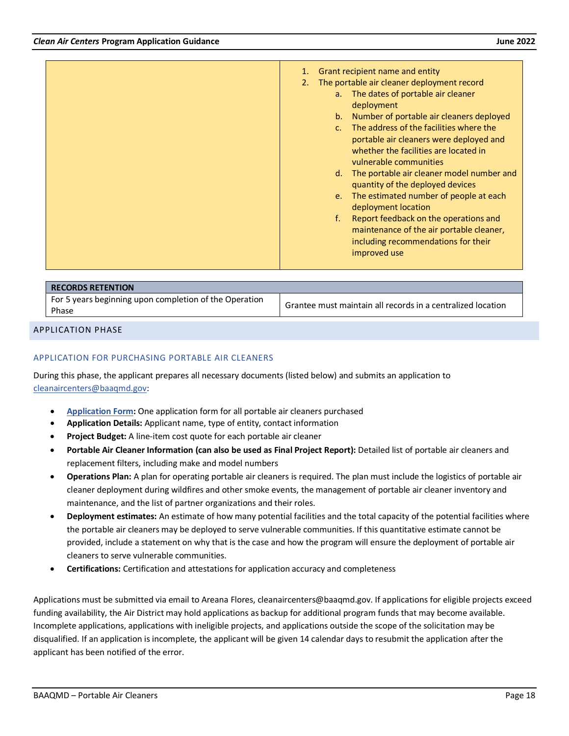| Grant recipient name and entity                                                                                                                                  |
|------------------------------------------------------------------------------------------------------------------------------------------------------------------|
| The portable air cleaner deployment record                                                                                                                       |
| The dates of portable air cleaner<br>$a_{n}$<br>deployment                                                                                                       |
| Number of portable air cleaners deployed<br>$b_{1}$                                                                                                              |
| The address of the facilities where the<br>$C_{n}$<br>portable air cleaners were deployed and<br>whether the facilities are located in<br>vulnerable communities |
| The portable air cleaner model number and<br>d.<br>quantity of the deployed devices                                                                              |
| The estimated number of people at each<br>$e_{1}$<br>deployment location                                                                                         |
| Report feedback on the operations and<br>$f_{\rm{r}}$<br>maintenance of the air portable cleaner,<br>including recommendations for their<br>improved use         |
|                                                                                                                                                                  |

| <b>RECORDS RETENTION</b>                                        |                                                             |
|-----------------------------------------------------------------|-------------------------------------------------------------|
| For 5 years beginning upon completion of the Operation<br>Phase | Grantee must maintain all records in a centralized location |

#### <span id="page-17-0"></span>APPLICATION PHASE

#### APPLICATION FOR PURCHASING PORTABLE AIR CLEANERS

During this phase, the applicant prepares all necessary documents (listed below) and submits an application to [cleanaircenters@baaqmd.gov:](mailto:aflores@baaqmd.gov)

- **[Application Form:](https://www.baaqmd.gov/%7E/media/files/strategic-incentives/clean-air-centers/forms/ab-836-forms-portable-air-cleaner-purchase-docx.docx?la=en)** One application form for all portable air cleaners purchased
- **Application Details:** Applicant name, type of entity, contact information
- **Project Budget:** A line-item cost quote for each portable air cleaner
- **Portable Air Cleaner Information (can also be used as Final Project Report):** Detailed list of portable air cleaners and replacement filters, including make and model numbers
- **Operations Plan:** A plan for operating portable air cleaners is required. The plan must include the logistics of portable air cleaner deployment during wildfires and other smoke events, the management of portable air cleaner inventory and maintenance, and the list of partner organizations and their roles.
- **Deployment estimates:** An estimate of how many potential facilities and the total capacity of the potential facilities where the portable air cleaners may be deployed to serve vulnerable communities. If this quantitative estimate cannot be provided, include a statement on why that is the case and how the program will ensure the deployment of portable air cleaners to serve vulnerable communities.
- **Certifications:** Certification and attestations for application accuracy and completeness

Applications must be submitted via email to Areana Flores, cleanaircenters@baaqmd.gov. If applications for eligible projects exceed funding availability, the Air District may hold applications as backup for additional program funds that may become available. Incomplete applications, applications with ineligible projects, and applications outside the scope of the solicitation may be disqualified. If an application is incomplete, the applicant will be given 14 calendar days to resubmit the application after the applicant has been notified of the error.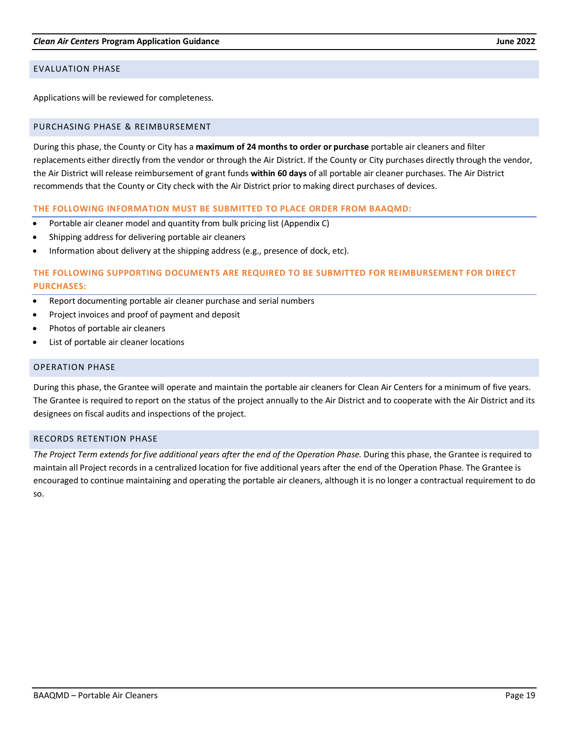#### <span id="page-18-0"></span>EVALUATION PHASE

Applications will be reviewed for completeness.

#### <span id="page-18-1"></span>PURCHASING PHASE & REIMBURSEMENT

During this phase, the County or City has a **maximum of 24 months to order or purchase** portable air cleaners and filter replacements either directly from the vendor or through the Air District. If the County or City purchases directly through the vendor, the Air District will release reimbursement of grant funds **within 60 days** of all portable air cleaner purchases. The Air District recommends that the County or City check with the Air District prior to making direct purchases of devices.

#### **THE FOLLOWING INFORMATION MUST BE SUBMITTED TO PLACE ORDER FROM BAAQMD:**

- Portable air cleaner model and quantity from bulk pricing list (Appendix C)
- Shipping address for delivering portable air cleaners
- Information about delivery at the shipping address (e.g., presence of dock, etc).

# **THE FOLLOWING SUPPORTING DOCUMENTS ARE REQUIRED TO BE SUBMITTED FOR REIMBURSEMENT FOR DIRECT PURCHASES:**

- Report documenting portable air cleaner purchase and serial numbers
- Project invoices and proof of payment and deposit
- Photos of portable air cleaners
- List of portable air cleaner locations

#### <span id="page-18-2"></span>OPERATION PHASE

During this phase, the Grantee will operate and maintain the portable air cleaners for Clean Air Centers for a minimum of five years. The Grantee is required to report on the status of the project annually to the Air District and to cooperate with the Air District and its designees on fiscal audits and inspections of the project.

#### <span id="page-18-3"></span>RECORDS RETENTION PHASE

*The Project Term extends for five additional years after the end of the Operation Phase.* During this phase, the Grantee is required to maintain all Project records in a centralized location for five additional years after the end of the Operation Phase. The Grantee is encouraged to continue maintaining and operating the portable air cleaners, although it is no longer a contractual requirement to do so.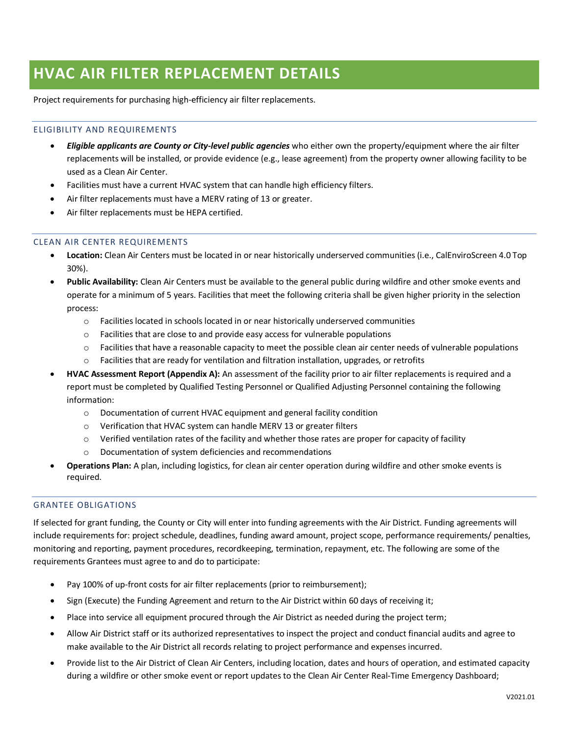# <span id="page-19-0"></span>**HVAC AIR FILTER REPLACEMENT DETAILS**

Project requirements for purchasing high-efficiency air filter replacements.

# ELIGIBILITY AND REQUIREMENTS

- *Eligible applicants are County or City-level public agencies* who either own the property/equipment where the air filter replacements will be installed, or provide evidence (e.g., lease agreement) from the property owner allowing facility to be used as a Clean Air Center.
- Facilities must have a current HVAC system that can handle high efficiency filters.
- Air filter replacements must have a MERV rating of 13 or greater.
- Air filter replacements must be HEPA certified.

# CLEAN AIR CENTER REQUIREMENTS

- **Location:** Clean Air Centers must be located in or near historically underserved communities (i.e., CalEnviroScreen 4.0 Top 30%).
- **Public Availability:** Clean Air Centers must be available to the general public during wildfire and other smoke events and operate for a minimum of 5 years. Facilities that meet the following criteria shall be given higher priority in the selection process:
	- $\circ$  Facilities located in schools located in or near historically underserved communities
	- $\circ$  Facilities that are close to and provide easy access for vulnerable populations
	- $\circ$  Facilities that have a reasonable capacity to meet the possible clean air center needs of vulnerable populations
	- $\circ$  Facilities that are ready for ventilation and filtration installation, upgrades, or retrofits
- **HVAC Assessment Report (Appendix A):** An assessment of the facility prior to air filter replacements is required and a report must be completed by Qualified Testing Personnel or Qualified Adjusting Personnel containing the following information:
	- o Documentation of current HVAC equipment and general facility condition
	- o Verification that HVAC system can handle MERV 13 or greater filters
	- $\circ$  Verified ventilation rates of the facility and whether those rates are proper for capacity of facility
	- o Documentation of system deficiencies and recommendations
- **Operations Plan:** A plan, including logistics, for clean air center operation during wildfire and other smoke events is required.

# GRANTEE OBLIGATIONS

If selected for grant funding, the County or City will enter into funding agreements with the Air District. Funding agreements will include requirements for: project schedule, deadlines, funding award amount, project scope, performance requirements/ penalties, monitoring and reporting, payment procedures, recordkeeping, termination, repayment, etc. The following are some of the requirements Grantees must agree to and do to participate:

- Pay 100% of up-front costs for air filter replacements (prior to reimbursement);
- Sign (Execute) the Funding Agreement and return to the Air District within 60 days of receiving it;
- Place into service all equipment procured through the Air District as needed during the project term;
- Allow Air District staff or its authorized representatives to inspect the project and conduct financial audits and agree to make available to the Air District all records relating to project performance and expenses incurred.
- Provide list to the Air District of Clean Air Centers, including location, dates and hours of operation, and estimated capacity during a wildfire or other smoke event or report updates to the Clean Air Center Real-Time Emergency Dashboard;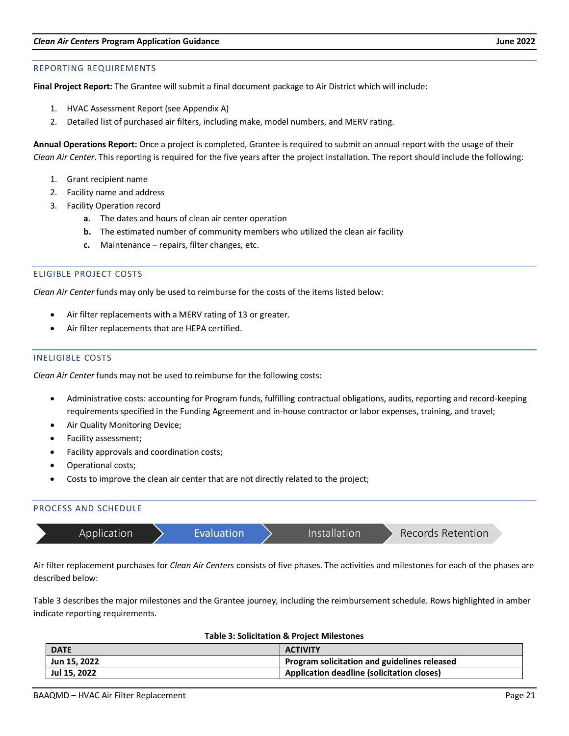#### REPORTING REQUIREMENTS

**Final Project Report:** The Grantee will submit a final document package to Air District which will include:

- 1. HVAC Assessment Report (see Appendix A)
- 2. Detailed list of purchased air filters, including make, model numbers, and MERV rating.

**Annual Operations Report:** Once a project is completed, Grantee is required to submit an annual report with the usage of their *Clean Air Center*. This reporting is required for the five years after the project installation. The report should include the following:

- 1. Grant recipient name
- 2. Facility name and address
- 3. Facility Operation record
	- **a.** The dates and hours of clean air center operation
	- **b.** The estimated number of community members who utilized the clean air facility
	- **c.** Maintenance repairs, filter changes, etc.

#### ELIGIBLE PROJECT COSTS

*Clean Air Center* funds may only be used to reimburse for the costs of the items listed below:

- Air filter replacements with a MERV rating of 13 or greater.
- Air filter replacements that are HEPA certified.

#### INELIGIBLE COSTS

*Clean Air Center* funds may not be used to reimburse for the following costs:

- Administrative costs: accounting for Program funds, fulfilling contractual obligations, audits, reporting and record-keeping requirements specified in the Funding Agreement and in-house contractor or labor expenses, training, and travel;
- Air Quality Monitoring Device;
- Facility assessment;
- Facility approvals and coordination costs;
- Operational costs;
- Costs to improve the clean air center that are not directly related to the project;

#### PROCESS AND SCHEDULE

|  |  | Application | <b>Evaluation</b> |  | Installation <sup>1</sup> | Records Retention |  |
|--|--|-------------|-------------------|--|---------------------------|-------------------|--|
|--|--|-------------|-------------------|--|---------------------------|-------------------|--|

Air filter replacement purchases for *Clean Air Centers* consists of five phases. The activities and milestones for each of the phases are described below:

Table 3 describes the major milestones and the Grantee journey, including the reimbursement schedule. Rows highlighted in amber indicate reporting requirements.

| <b>DATE</b>  | <b>ACTIVITY</b>                              |  |
|--------------|----------------------------------------------|--|
| Jun 15, 2022 | Program solicitation and guidelines released |  |
| Jul 15, 2022 | Application deadline (solicitation closes)   |  |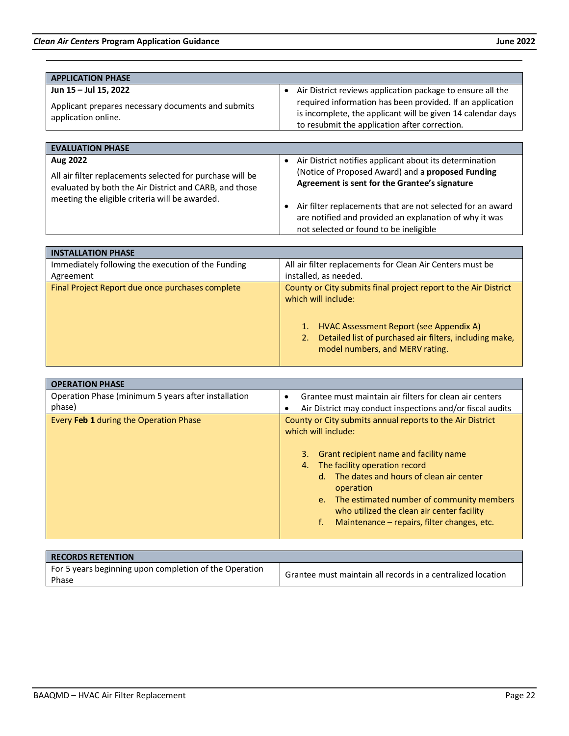| <b>APPLICATION PHASE</b>                                                                                                                                              |                                                                                                                                                                             |
|-----------------------------------------------------------------------------------------------------------------------------------------------------------------------|-----------------------------------------------------------------------------------------------------------------------------------------------------------------------------|
| Jun 15 - Jul 15, 2022                                                                                                                                                 | Air District reviews application package to ensure all the<br>$\bullet$                                                                                                     |
| Applicant prepares necessary documents and submits<br>application online.                                                                                             | required information has been provided. If an application<br>is incomplete, the applicant will be given 14 calendar days<br>to resubmit the application after correction.   |
|                                                                                                                                                                       |                                                                                                                                                                             |
| <b>EVALUATION PHASE</b>                                                                                                                                               |                                                                                                                                                                             |
| Aug 2022                                                                                                                                                              | Air District notifies applicant about its determination<br>$\bullet$                                                                                                        |
| All air filter replacements selected for purchase will be<br>evaluated by both the Air District and CARB, and those<br>meeting the eligible criteria will be awarded. | (Notice of Proposed Award) and a proposed Funding<br>Agreement is sent for the Grantee's signature                                                                          |
|                                                                                                                                                                       | Air filter replacements that are not selected for an award<br>$\bullet$<br>are notified and provided an explanation of why it was<br>not selected or found to be ineligible |

| <b>INSTALLATION PHASE</b>                          |                                                                                                                                                                                                                                       |
|----------------------------------------------------|---------------------------------------------------------------------------------------------------------------------------------------------------------------------------------------------------------------------------------------|
| Immediately following the execution of the Funding | All air filter replacements for Clean Air Centers must be                                                                                                                                                                             |
| Agreement                                          | installed, as needed.                                                                                                                                                                                                                 |
| Final Project Report due once purchases complete   | County or City submits final project report to the Air District<br>which will include:<br>HVAC Assessment Report (see Appendix A)<br>Detailed list of purchased air filters, including make,<br>2.<br>model numbers, and MERV rating. |

| <b>OPERATION PHASE</b>                              |                                                                                                                                                                                                                                                                                                                                                                                          |  |
|-----------------------------------------------------|------------------------------------------------------------------------------------------------------------------------------------------------------------------------------------------------------------------------------------------------------------------------------------------------------------------------------------------------------------------------------------------|--|
| Operation Phase (minimum 5 years after installation | Grantee must maintain air filters for clean air centers<br>$\bullet$                                                                                                                                                                                                                                                                                                                     |  |
| phase)                                              | Air District may conduct inspections and/or fiscal audits                                                                                                                                                                                                                                                                                                                                |  |
| Every Feb 1 during the Operation Phase              | County or City submits annual reports to the Air District<br>which will include:<br>Grant recipient name and facility name<br>3.<br>The facility operation record<br>4.<br>The dates and hours of clean air center<br>d.<br>operation<br>e. The estimated number of community members<br>who utilized the clean air center facility<br>Maintenance – repairs, filter changes, etc.<br>f. |  |
|                                                     |                                                                                                                                                                                                                                                                                                                                                                                          |  |

| <b>RECORDS RETENTION</b>                                        |                                                             |
|-----------------------------------------------------------------|-------------------------------------------------------------|
| For 5 years beginning upon completion of the Operation<br>Phase | Grantee must maintain all records in a centralized location |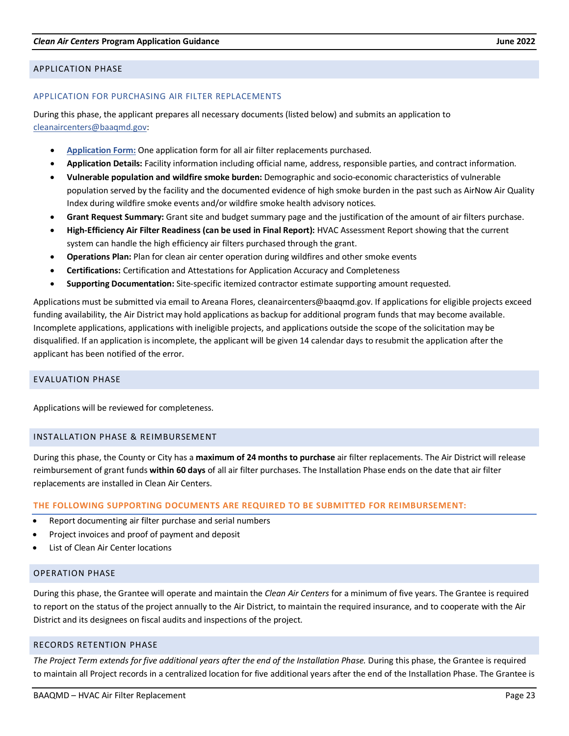#### <span id="page-22-0"></span>APPLICATION PHASE

#### APPLICATION FOR PURCHASING AIR FILTER REPLACEMENTS

During this phase, the applicant prepares all necessary documents (listed below) and submits an application to [cleanaircenters@baaqmd.gov:](mailto:aflores@baaqmd.gov)

- **[Application](https://www.baaqmd.gov/%7E/media/files/strategic-incentives/clean-air-centers/forms/ab-836-forms-air-filter-purchase-docx.docx?la=en) Form:** One application form for all air filter replacements purchased.
- **Application Details:** Facility information including official name, address, responsible parties, and contract information.
- **Vulnerable population and wildfire smoke burden:** Demographic and socio-economic characteristics of vulnerable population served by the facility and the documented evidence of high smoke burden in the past such as AirNow Air Quality Index during wildfire smoke events and/or wildfire smoke health advisory notices.
- **Grant Request Summary:** Grant site and budget summary page and the justification of the amount of air filters purchase.
- **High-Efficiency Air Filter Readiness (can be used in Final Report):** HVAC Assessment Report showing that the current system can handle the high efficiency air filters purchased through the grant.
- **Operations Plan:** Plan for clean air center operation during wildfires and other smoke events
- **Certifications:** Certification and Attestations for Application Accuracy and Completeness
- **Supporting Documentation:** Site-specific itemized contractor estimate supporting amount requested.

Applications must be submitted via email to Areana Flores, cleanaircenters@baaqmd.gov. If applications for eligible projects exceed funding availability, the Air District may hold applications as backup for additional program funds that may become available. Incomplete applications, applications with ineligible projects, and applications outside the scope of the solicitation may be disqualified. If an application is incomplete, the applicant will be given 14 calendar days to resubmit the application after the applicant has been notified of the error.

#### <span id="page-22-1"></span>EVALUATION PHASE

Applications will be reviewed for completeness.

#### <span id="page-22-2"></span>INSTALLATION PHASE & REIMBURSEMENT

During this phase, the County or City has a **maximum of 24 months to purchase** air filter replacements. The Air District will release reimbursement of grant funds **within 60 days** of all air filter purchases. The Installation Phase ends on the date that air filter replacements are installed in Clean Air Centers.

#### **THE FOLLOWING SUPPORTING DOCUMENTS ARE REQUIRED TO BE SUBMITTED FOR REIMBURSEMENT:**

- Report documenting air filter purchase and serial numbers
- Project invoices and proof of payment and deposit
- List of Clean Air Center locations

#### <span id="page-22-3"></span>OPERATION PHASE

During this phase, the Grantee will operate and maintain the *Clean Air Centers* for a minimum of five years. The Grantee is required to report on the status of the project annually to the Air District, to maintain the required insurance, and to cooperate with the Air District and its designees on fiscal audits and inspections of the project.

#### <span id="page-22-4"></span>RECORDS RETENTION PHASE

*The Project Term extends for five additional years after the end of the Installation Phase.* During this phase, the Grantee is required to maintain all Project records in a centralized location for five additional years after the end of the Installation Phase. The Grantee is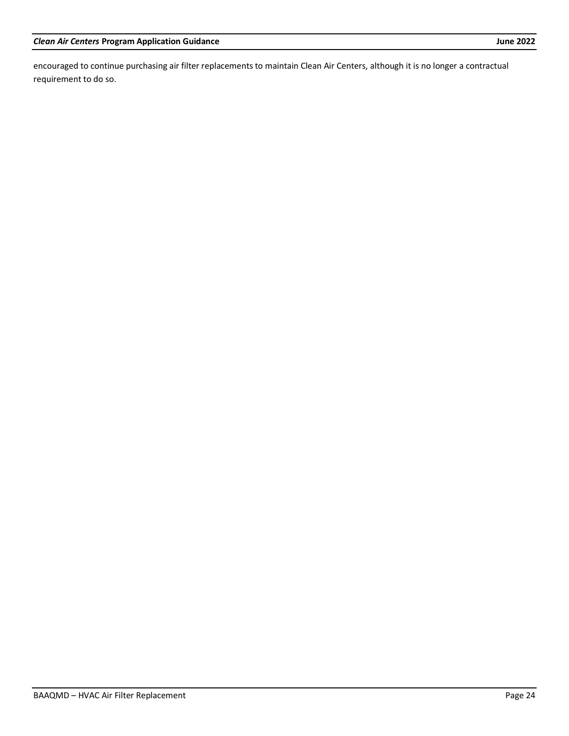encouraged to continue purchasing air filter replacements to maintain Clean Air Centers, although it is no longer a contractual requirement to do so.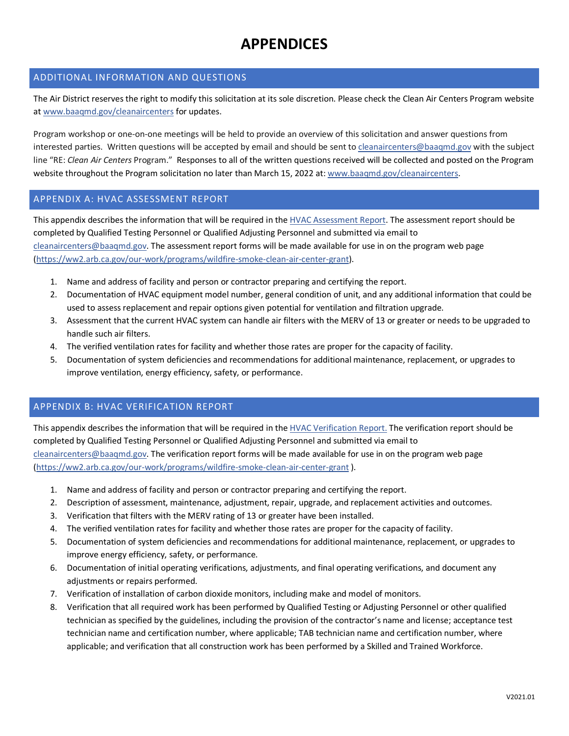# **APPENDICES**

# <span id="page-24-0"></span>ADDITIONAL INFORMATION AND QUESTIONS

The Air District reserves the right to modify this solicitation at its sole discretion. Please check the Clean Air Centers Program website a[t www.baaqmd.gov/cleanaircenters](http://www.baaqmd.gov/cleanaircenters) for updates.

Program workshop or one-on-one meetings will be held to provide an overview of this solicitation and answer questions from interested parties. Written questions will be accepted by email and should be sent t[o cleanaircenters@baaqmd.gov](mailto:aflores@baaqmd.gov) with the subject line "RE: *Clean Air Centers* Program." Responses to all of the written questions received will be collected and posted on the Program website throughout the Program solicitation no later than March 15, 2022 at: [www.baaqmd.gov/cleanaircenters.](http://www.baaqmd.gov/cleanaircenters)

# <span id="page-24-1"></span>APPENDIX A: HVAC ASSESSMENT REPORT

This appendix describes the information that will be required in the [HVAC Assessment Report.](https://prod-cm-baaqmd-preview.cylogy.com/%7E/media/files/strategic-incentives/clean-air-centers/forms/clean-air-center-hvac-assessment-report-pdf.pdf?la=en) The assessment report should be completed by Qualified Testing Personnel or Qualified Adjusting Personnel and submitted via email to [cleanaircenters@baaqmd.gov.](mailto:aflores@baaqmd.gov) The assessment report forms will be made available for use in on the program web page [\(https://ww2.arb.ca.gov/our-work/programs/wildfire-smoke-clean-air-center-grant\)](https://ww2.arb.ca.gov/our-work/programs/wildfire-smoke-clean-air-center-grant).

- 1. Name and address of facility and person or contractor preparing and certifying the report.
- 2. Documentation of HVAC equipment model number, general condition of unit, and any additional information that could be used to assess replacement and repair options given potential for ventilation and filtration upgrade.
- 3. Assessment that the current HVAC system can handle air filters with the MERV of 13 or greater or needs to be upgraded to handle such air filters.
- 4. The verified ventilation rates for facility and whether those rates are proper for the capacity of facility.
- 5. Documentation of system deficiencies and recommendations for additional maintenance, replacement, or upgrades to improve ventilation, energy efficiency, safety, or performance.

# <span id="page-24-2"></span>APPENDIX B: HVAC VERIFICATION REPORT

This appendix describes the information that will be required in the [HVAC Verification Report.](https://prod-cm-baaqmd-preview.cylogy.com/%7E/media/files/strategic-incentives/clean-air-centers/forms/clean-air-center-hvac-verification-report-pdf.pdf?la=en) The verification report should be completed by Qualified Testing Personnel or Qualified Adjusting Personnel and submitted via email to [cleanaircenters@baaqmd.gov.](mailto:aflores@baaqmd.gov) The verification report forms will be made available for use in on the program web page [\(https://ww2.arb.ca.gov/our-work/programs/wildfire-smoke-clean-air-center-grant](https://ww2.arb.ca.gov/our-work/programs/wildfire-smoke-clean-air-center-grant) ).

- 1. Name and address of facility and person or contractor preparing and certifying the report.
- 2. Description of assessment, maintenance, adjustment, repair, upgrade, and replacement activities and outcomes.
- 3. Verification that filters with the MERV rating of 13 or greater have been installed.
- 4. The verified ventilation rates for facility and whether those rates are proper for the capacity of facility.
- 5. Documentation of system deficiencies and recommendations for additional maintenance, replacement, or upgrades to improve energy efficiency, safety, or performance.
- 6. Documentation of initial operating verifications, adjustments, and final operating verifications, and document any adjustments or repairs performed.
- 7. Verification of installation of carbon dioxide monitors, including make and model of monitors.
- 8. Verification that all required work has been performed by Qualified Testing or Adjusting Personnel or other qualified technician as specified by the guidelines, including the provision of the contractor's name and license; acceptance test technician name and certification number, where applicable; TAB technician name and certification number, where applicable; and verification that all construction work has been performed by a Skilled and Trained Workforce.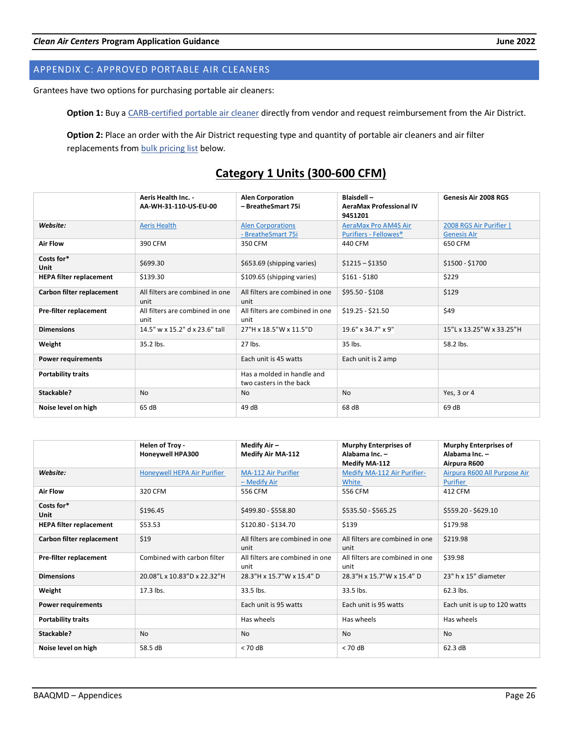# <span id="page-25-0"></span>APPENDIX C: APPROVED PORTABLE AIR CLEANERS

Grantees have two options for purchasing portable air cleaners:

**Option 1:** Buy [a CARB-certified portable air cleaner](https://ww2.arb.ca.gov/list-carb-certified-air-cleaning-devices) directly from vendor and request reimbursement from the Air District.

**Option 2:** Place an order with the Air District requesting type and quantity of portable air cleaners and air filter replacements from **bulk** pricing list below.

|                                | Aeris Health Inc. -<br>AA-WH-31-110-US-EU-00 | <b>Alen Corporation</b><br>- BreatheSmart 75i         | <b>Blaisdell-</b><br><b>AeraMax Professional IV</b><br>9451201 | Genesis Air 2008 RGS                          |
|--------------------------------|----------------------------------------------|-------------------------------------------------------|----------------------------------------------------------------|-----------------------------------------------|
| Website:                       | <b>Aeris Health</b>                          | <b>Alen Corporations</b><br>- BreatheSmart 75i        | AeraMax Pro AM4S Air<br>Purifiers - Fellowes <sup>®</sup>      | 2008 RGS Air Purifier  <br><b>Genesis Alr</b> |
| <b>Air Flow</b>                | 390 CFM                                      | 350 CFM                                               | 440 CFM                                                        | 650 CFM                                       |
| Costs for*<br>Unit             | \$699.30                                     | \$653.69 (shipping varies)                            | $$1215 - $1350$                                                | \$1500 - \$1700                               |
| <b>HEPA filter replacement</b> | \$139.30                                     | \$109.65 (shipping varies)                            | $$161 - $180$                                                  | \$229                                         |
| Carbon filter replacement      | All filters are combined in one<br>unit      | All filters are combined in one<br>unit               | $$95.50 - $108$                                                | \$129                                         |
| Pre-filter replacement         | All filters are combined in one<br>unit      | All filters are combined in one<br>unit               | $$19.25 - $21.50$                                              | \$49                                          |
| <b>Dimensions</b>              | 14.5" w x 15.2" d x 23.6" tall               | 27"H x 18.5"W x 11.5"D                                | 19.6" x 34.7" x 9"                                             | 15"L x 13.25"W x 33.25"H                      |
| Weight                         | 35.2 lbs.                                    | 27 lbs.                                               | 35 lbs.                                                        | 58.2 lbs.                                     |
| <b>Power requirements</b>      |                                              | Each unit is 45 watts                                 | Each unit is 2 amp                                             |                                               |
| <b>Portability traits</b>      |                                              | Has a molded in handle and<br>two casters in the back |                                                                |                                               |
| Stackable?                     | <b>No</b>                                    | <b>No</b>                                             | <b>No</b>                                                      | Yes, 3 or 4                                   |
| Noise level on high            | 65 dB                                        | 49 dB                                                 | 68 dB                                                          | 69 dB                                         |

| Category 1 Units (300-600 CFM) |  |  |
|--------------------------------|--|--|

|                                | Helen of Troy -             | Medify Air -                            | <b>Murphy Enterprises of</b>            | <b>Murphy Enterprises of</b>                    |
|--------------------------------|-----------------------------|-----------------------------------------|-----------------------------------------|-------------------------------------------------|
|                                | Honeywell HPA300            | <b>Medify Air MA-112</b>                | Alabama Inc. -<br>Medify MA-112         | Alabama Inc. -<br>Airpura R600                  |
| Website:                       | Honeywell HEPA Air Purifier | MA-112 Air Purifier<br>- Medify Air     | Medify MA-112 Air Purifier-<br>White    | Airpura R600 All Purpose Air<br><b>Purifier</b> |
| <b>Air Flow</b>                | 320 CFM                     | 556 CFM                                 | 556 CFM                                 | 412 CFM                                         |
| Costs for*<br><b>Unit</b>      | \$196.45                    | \$499.80 - \$558.80                     | \$535.50 - \$565.25                     | \$559.20 - \$629.10                             |
| <b>HEPA filter replacement</b> | \$53.53                     | \$120.80 - \$134.70                     | \$139                                   | \$179.98                                        |
| Carbon filter replacement      | \$19                        | All filters are combined in one<br>unit | All filters are combined in one<br>unit | \$219.98                                        |
| Pre-filter replacement         | Combined with carbon filter | All filters are combined in one<br>unit | All filters are combined in one<br>unit | \$39.98                                         |
| <b>Dimensions</b>              | 20.08"L x 10.83"D x 22.32"H | 28.3"H x 15.7"W x 15.4" D               | 28.3"H x 15.7"W x 15.4" D               | 23" h x 15" diameter                            |
| Weight                         | 17.3 lbs.                   | 33.5 lbs.                               | 33.5 lbs.                               | 62.3 lbs.                                       |
| <b>Power requirements</b>      |                             | Each unit is 95 watts                   | Each unit is 95 watts                   | Each unit is up to 120 watts                    |
| <b>Portability traits</b>      |                             | Has wheels                              | Has wheels                              | Has wheels                                      |
| Stackable?                     | <b>No</b>                   | <b>No</b>                               | <b>No</b>                               | <b>No</b>                                       |
| Noise level on high            | 58.5 dB                     | $< 70$ dB                               | $< 70$ dB                               | 62.3 dB                                         |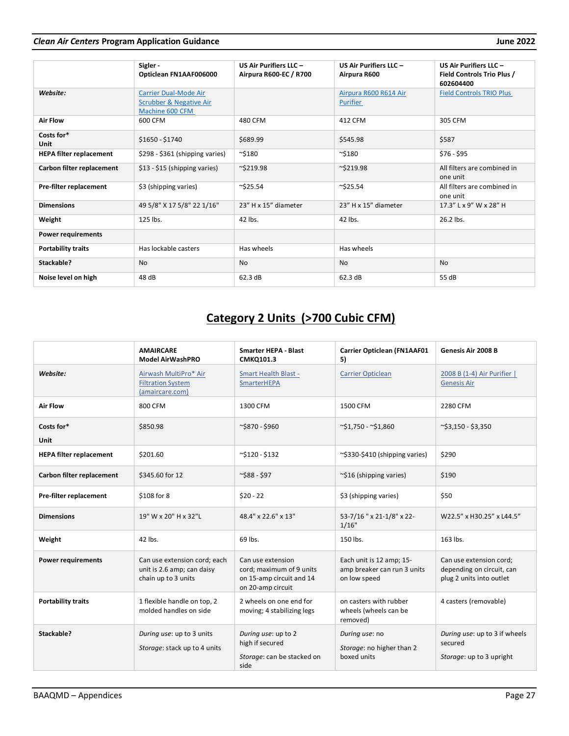# *Clean Air Centers* **Program Application Guidance June 2022**

|                                | Sigler-<br>Opticlean FN1AAF006000                                                     | US Air Purifiers LLC -<br>Airpura R600-EC / R700 | US Air Purifiers LLC -<br>Airpura R600   | US Air Purifiers LLC -<br><b>Field Controls Trio Plus /</b><br>602604400 |
|--------------------------------|---------------------------------------------------------------------------------------|--------------------------------------------------|------------------------------------------|--------------------------------------------------------------------------|
| Website:                       | <b>Carrier Dual-Mode Air</b><br><b>Scrubber &amp; Negative Air</b><br>Machine 600 CFM |                                                  | Airpura R600 R614 Air<br><b>Purifier</b> | <b>Field Controls TRIO Plus</b>                                          |
| <b>Air Flow</b>                | 600 CFM                                                                               | 480 CFM                                          | 412 CFM                                  | 305 CFM                                                                  |
| Costs for*<br>Unit             | $$1650 - $1740$                                                                       | \$689.99                                         | \$545.98                                 | \$587                                                                    |
| <b>HEPA filter replacement</b> | \$298 - \$361 (shipping varies)                                                       | $^{\sim}$ \$180                                  | $^{\sim}$ \$180                          | $$76 - $95$                                                              |
| Carbon filter replacement      | \$13 - \$15 (shipping varies)                                                         | $\sim$ \$219.98                                  | $\sim$ \$219.98                          | All filters are combined in<br>one unit                                  |
| Pre-filter replacement         | \$3 (shipping varies)                                                                 | $\sim$ \$25.54                                   | $\sim$ \$25.54                           | All filters are combined in<br>one unit                                  |
| <b>Dimensions</b>              | 49 5/8" X 17 5/8" 22 1/16"                                                            | 23" H x 15" diameter                             | 23" H x 15" diameter                     | 17.3" L x 9" W x 28" H                                                   |
| Weight                         | 125 lbs.                                                                              | 42 lbs.                                          | 42 lbs.                                  | 26.2 lbs.                                                                |
| <b>Power requirements</b>      |                                                                                       |                                                  |                                          |                                                                          |
| <b>Portability traits</b>      | Has lockable casters                                                                  | Has wheels                                       | Has wheels                               |                                                                          |
| Stackable?                     | <b>No</b>                                                                             | <b>No</b>                                        | <b>No</b>                                | <b>No</b>                                                                |
| Noise level on high            | 48 dB                                                                                 | 62.3 dB                                          | 62.3 dB                                  | 55 dB                                                                    |

# **Category 2 Units (>700 Cubic CFM)**

|                                | <b>AMAIRCARE</b><br><b>Model AirWashPRO</b>                                       | <b>Smarter HEPA - Blast</b><br>CMKQ101.3                                                       | <b>Carrier Opticlean (FN1AAF01</b><br>5)                                | <b>Genesis Air 2008 B</b>                                                        |
|--------------------------------|-----------------------------------------------------------------------------------|------------------------------------------------------------------------------------------------|-------------------------------------------------------------------------|----------------------------------------------------------------------------------|
| Website:                       | Airwash MultiPro* Air<br><b>Filtration System</b><br>(amaircare.com)              | <b>Smart Health Blast -</b><br><b>SmarterHEPA</b>                                              | <b>Carrier Opticlean</b>                                                | 2008 B (1-4) Air Purifier  <br><b>Genesis Air</b>                                |
| <b>Air Flow</b>                | 800 CFM                                                                           | 1300 CFM                                                                                       | 1500 CFM                                                                | 2280 CFM                                                                         |
| Costs for*<br>Unit             | \$850.98                                                                          | ~\$870 - \$960                                                                                 | $\sim$ \$1,750 - $\sim$ \$1,860                                         | $\sim$ \$3,150 - \$3,350                                                         |
| <b>HEPA filter replacement</b> | \$201.60                                                                          | $\sim$ \$120 - \$132                                                                           | ~\$330-\$410 (shipping varies)                                          | \$290                                                                            |
| Carbon filter replacement      | \$345.60 for 12                                                                   | $\sim$ \$88 - \$97                                                                             | $\sim$ \$16 (shipping varies)                                           | \$190                                                                            |
| Pre-filter replacement         | \$108 for 8                                                                       | $$20 - 22$                                                                                     | \$3 (shipping varies)                                                   | \$50                                                                             |
| <b>Dimensions</b>              | 19" W x 20" H x 32"L                                                              | 48.4" x 22.6" x 13"                                                                            | 53-7/16 " x 21-1/8" x 22-<br>1/16"                                      | W22.5" x H30.25" x L44.5"                                                        |
| Weight                         | 42 lbs.                                                                           | 69 lbs.                                                                                        | 150 lbs.                                                                | 163 lbs.                                                                         |
| <b>Power requirements</b>      | Can use extension cord; each<br>unit is 2.6 amp; can daisy<br>chain up to 3 units | Can use extension<br>cord; maximum of 9 units<br>on 15-amp circuit and 14<br>on 20-amp circuit | Each unit is 12 amp; 15-<br>amp breaker can run 3 units<br>on low speed | Can use extension cord;<br>depending on circuit, can<br>plug 2 units into outlet |
| <b>Portability traits</b>      | 1 flexible handle on top, 2<br>molded handles on side                             | 2 wheels on one end for<br>moving; 4 stabilizing legs                                          | on casters with rubber<br>wheels (wheels can be<br>removed)             | 4 casters (removable)                                                            |
| Stackable?                     | During use: up to 3 units<br>Storage: stack up to 4 units                         | During use: up to 2<br>high if secured<br>Storage: can be stacked on<br>side                   | During use: no<br>Storage: no higher than 2<br>boxed units              | During use: up to 3 if wheels<br>secured<br>Storage: up to 3 upright             |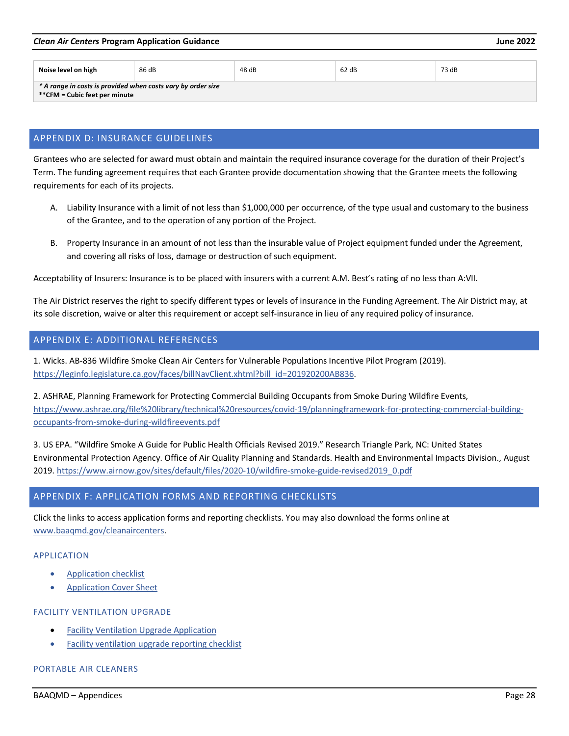#### *Clean Air Centers* **Program Application Guidance June 2022**

| Noise level on high                                          | 86 dB | 48 dB | 62 dB | 73 dB |  |
|--------------------------------------------------------------|-------|-------|-------|-------|--|
| * A range in costs is provided when costs vary by order size |       |       |       |       |  |
| **CFM = Cubic feet per minute                                |       |       |       |       |  |

# <span id="page-27-0"></span>APPENDIX D: INSURANCE GUIDELINES

Grantees who are selected for award must obtain and maintain the required insurance coverage for the duration of their Project's Term. The funding agreement requires that each Grantee provide documentation showing that the Grantee meets the following requirements for each of its projects.

- A. Liability Insurance with a limit of not less than \$1,000,000 per occurrence, of the type usual and customary to the business of the Grantee, and to the operation of any portion of the Project.
- B. Property Insurance in an amount of not less than the insurable value of Project equipment funded under the Agreement, and covering all risks of loss, damage or destruction of such equipment.

Acceptability of Insurers: Insurance is to be placed with insurers with a current A.M. Best's rating of no less than A:VII.

The Air District reserves the right to specify different types or levels of insurance in the Funding Agreement. The Air District may, at its sole discretion, waive or alter this requirement or accept self-insurance in lieu of any required policy of insurance.

# <span id="page-27-1"></span>APPENDIX E: ADDITIONAL REFERENCES

1. Wicks. AB-836 Wildfire Smoke Clean Air Centers for Vulnerable Populations Incentive Pilot Program (2019). [https://leginfo.legislature.ca.gov/faces/billNavClient.xhtml?bill\\_id=201920200AB836.](https://leginfo.legislature.ca.gov/faces/billNavClient.xhtml?bill_id=201920200AB836)

2. ASHRAE, Planning Framework for Protecting Commercial Building Occupants from Smoke During Wildfire Events, [https://www.ashrae.org/file%20library/technical%20resources/covid-19/planningframework-for-protecting-commercial-building](https://www.ashrae.org/file%20library/technical%20resources/covid-19/planningframework-for-protecting-commercial-building-occupants-from-smoke-during-wildfireevents.pdf)[occupants-from-smoke-during-wildfireevents.pdf](https://www.ashrae.org/file%20library/technical%20resources/covid-19/planningframework-for-protecting-commercial-building-occupants-from-smoke-during-wildfireevents.pdf) 

3. US EPA. "Wildfire Smoke A Guide for Public Health Officials Revised 2019." Research Triangle Park, NC: United States Environmental Protection Agency. Office of Air Quality Planning and Standards. Health and Environmental Impacts Division., August 2019. [https://www.airnow.gov/sites/default/files/2020-10/wildfire-smoke-guide-revised2019\\_0.pdf](https://www.airnow.gov/sites/default/files/2020-10/wildfire-smoke-guide-revised2019_0.pdf)

# <span id="page-27-2"></span>APPENDIX F: APPLICATION FORMS AND REPORTING CHECKLISTS

Click the links to access application forms and reporting checklists. You may also download the forms online at [www.baaqmd.gov/cleanaircenters.](http://www.baaqmd.gov/cleanaircenters)

#### APPLICATION

- [Application checklist](https://www.baaqmd.gov/%7E/media/files/strategic-incentives/clean-air-centers/forms/clean-air-center-application-checklist-pdf.pdf?la=en)
- **Application Cover Sheet**

#### FACILITY VENTILATION UPGRADE

- [Facility Ventilation Upgrade Application](https://www.baaqmd.gov/%7E/media/files/strategic-incentives/clean-air-centers/forms/ab-836-forms-facility-ventilation-upgrade-docx.docx?la=en)
- [Facility ventilation upgrade reporting checklist](https://www.baaqmd.gov/%7E/media/files/strategic-incentives/clean-air-centers/forms/clean-air-center-facility-ventilation-upgrade-reporting-checklist-pdf.pdf?la=en)

# PORTABLE AIR CLEANERS